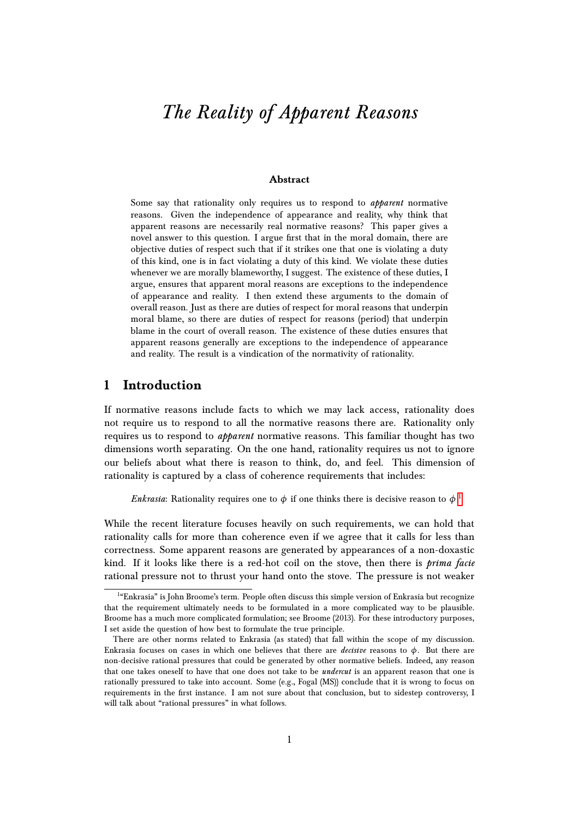# *The Reality of Apparent Reasons*

#### **Abstract**

Some say that rationality only requires us to respond to *apparent* normative reasons. Given the independence of appearance and reality, why think that apparent reasons are necessarily real normative reasons? This paper gives a novel answer to this question. I argue first that in the moral domain, there are objective duties of respect such that if it strikes one that one is violating a duty of this kind, one is in fact violating a duty of this kind. We violate these duties whenever we are morally blameworthy, I suggest. The existence of these duties, I argue, ensures that apparent moral reasons are exceptions to the independence of appearance and reality. I then extend these arguments to the domain of overall reason. Just as there are duties of respect for moral reasons that underpin moral blame, so there are duties of respect for reasons (period) that underpin blame in the court of overall reason. The existence of these duties ensures that apparent reasons generally are exceptions to the independence of appearance and reality. The result is a vindication of the normativity of rationality.

# **1 Introduction**

If normative reasons include facts to which we may lack access, rationality does not require us to respond to all the normative reasons there are. Rationality only requires us to respond to *apparent* normative reasons. This familiar thought has two dimensions worth separating. On the one hand, rationality requires us not to ignore our beliefs about what there is reason to think, do, and feel. This dimension of rationality is captured by a class of coherence requirements that includes:

*Enkrasia*: Rationality requires one to  $\phi$  if one thinks there is decisive reason to  $\phi$ .<sup>[1](#page-0-0)</sup>

While the recent literature focuses heavily on such requirements, we can hold that rationality calls for more than coherence even if we agree that it calls for less than correctness. Some apparent reasons are generated by appearances of a non-doxastic kind. If it looks like there is a red-hot coil on the stove, then there is *prima facie* rational pressure not to thrust your hand onto the stove. The pressure is not weaker

<span id="page-0-0"></span><sup>&</sup>lt;sup>14</sup>Enkrasia" is John Broome's term. People often discuss this simple version of Enkrasia but recognize that the requirement ultimately needs to be formulated in a more complicated way to be plausible. Broome has a much more complicated formulation; see Broome (2013). For these introductory purposes, I set aside the question of how best to formulate the true principle.

There are other norms related to Enkrasia (as stated) that fall within the scope of my discussion. Enkrasia focuses on cases in which one believes that there are *decisive* reasons to  $\phi$ . But there are non-decisive rational pressures that could be generated by other normative beliefs. Indeed, any reason that one takes oneself to have that one does not take to be *undercut* is an apparent reason that one is rationally pressured to take into account. Some (e.g., Fogal (MS)) conclude that it is wrong to focus on requirements in the first instance. I am not sure about that conclusion, but to sidestep controversy, I will talk about "rational pressures" in what follows.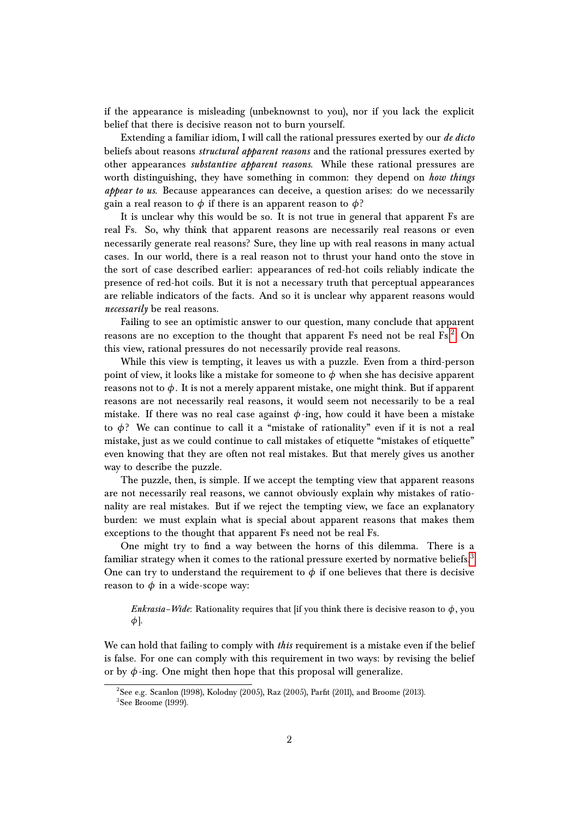if the appearance is misleading (unbeknownst to you), nor if you lack the explicit belief that there is decisive reason not to burn yourself.

Extending a familiar idiom, I will call the rational pressures exerted by our *de dicto* beliefs about reasons *structural apparent reasons* and the rational pressures exerted by other appearances *substantive apparent reasons*. While these rational pressures are worth distinguishing, they have something in common: they depend on *how things appear to us*. Because appearances can deceive, a question arises: do we necessarily gain a real reason to  $\phi$  if there is an apparent reason to  $\phi$ ?

It is unclear why this would be so. It is not true in general that apparent Fs are real Fs. So, why think that apparent reasons are necessarily real reasons or even necessarily generate real reasons? Sure, they line up with real reasons in many actual cases. In our world, there is a real reason not to thrust your hand onto the stove in the sort of case described earlier: appearances of red-hot coils reliably indicate the presence of red-hot coils. But it is not a necessary truth that perceptual appearances are reliable indicators of the facts. And so it is unclear why apparent reasons would *necessarily* be real reasons.

Failing to see an optimistic answer to our question, many conclude that apparent reasons are no exception to the thought that apparent Fs need not be real Fs.<sup>[2](#page-1-0)</sup> On this view, rational pressures do not necessarily provide real reasons.

While this view is tempting, it leaves us with a puzzle. Even from a third-person point of view, it looks like a mistake for someone to *φ* when she has decisive apparent reasons not to  $\phi$ . It is not a merely apparent mistake, one might think. But if apparent reasons are not necessarily real reasons, it would seem not necessarily to be a real mistake. If there was no real case against  $\phi$ -ing, how could it have been a mistake to  $φ$ ? We can continue to call it a "mistake of rationality" even if it is not a real mistake, just as we could continue to call mistakes of etiquette "mistakes of etiquette" even knowing that they are often not real mistakes. But that merely gives us another way to describe the puzzle.

The puzzle, then, is simple. If we accept the tempting view that apparent reasons are not necessarily real reasons, we cannot obviously explain why mistakes of rationality are real mistakes. But if we reject the tempting view, we face an explanatory burden: we must explain what is special about apparent reasons that makes them exceptions to the thought that apparent Fs need not be real Fs.

One might try to find a way between the horns of this dilemma. There is a familiar strategy when it comes to the rational pressure exerted by normative beliefs.<sup>[3](#page-1-1)</sup> One can try to understand the requirement to  $\phi$  if one believes that there is decisive reason to  $\phi$  in a wide-scope way:

*Enkrasia–Wide*: Rationality requires that [if you think there is decisive reason to  $\phi$ , you *φ*].

We can hold that failing to comply with *this* requirement is a mistake even if the belief is false. For one can comply with this requirement in two ways: by revising the belief or by  $\phi$ -ing. One might then hope that this proposal will generalize.

<span id="page-1-1"></span><span id="page-1-0"></span> $^{2}$ See e.g. Scanlon (1998), Kolodny (2005), Raz (2005), Parfit (2011), and Broome (2013). 3 See Broome (1999).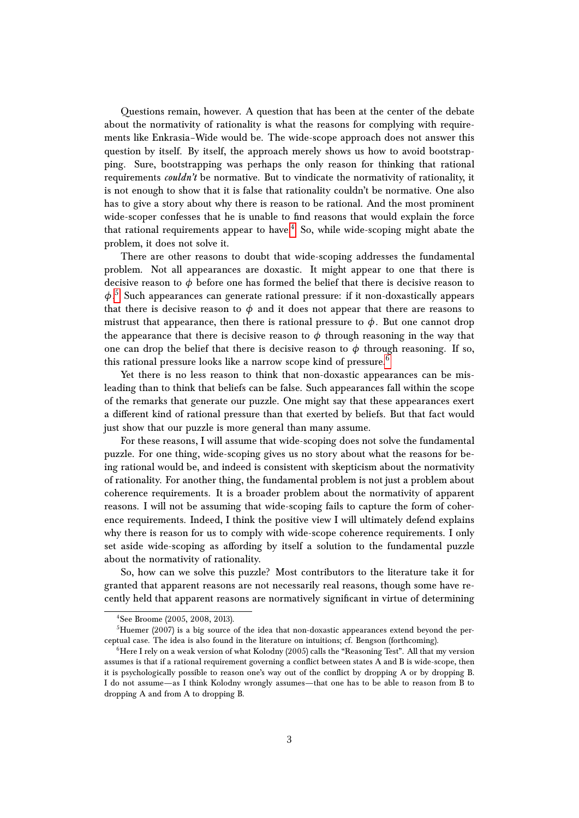Questions remain, however. A question that has been at the center of the debate about the normativity of rationality is what the reasons for complying with requirements like Enkrasia–Wide would be. The wide-scope approach does not answer this question by itself. By itself, the approach merely shows us how to avoid bootstrapping. Sure, bootstrapping was perhaps the only reason for thinking that rational requirements *couldn't* be normative. But to vindicate the normativity of rationality, it is not enough to show that it is false that rationality couldn't be normative. One also has to give a story about why there is reason to be rational. And the most prominent wide-scoper confesses that he is unable to find reasons that would explain the force that rational requirements appear to have.<sup>[4](#page-2-0)</sup> So, while wide-scoping might abate the problem, it does not solve it.

There are other reasons to doubt that wide-scoping addresses the fundamental problem. Not all appearances are doxastic. It might appear to one that there is decisive reason to  $\phi$  before one has formed the belief that there is decisive reason to *φ*. [5](#page-2-1) Such appearances can generate rational pressure: if it non-doxastically appears that there is decisive reason to  $\phi$  and it does not appear that there are reasons to mistrust that appearance, then there is rational pressure to  $\phi$ . But one cannot drop the appearance that there is decisive reason to  $\phi$  through reasoning in the way that one can drop the belief that there is decisive reason to  $\phi$  through reasoning. If so, this rational pressure looks like a narrow scope kind of pressure.<sup>[6](#page-2-2)</sup>

Yet there is no less reason to think that non-doxastic appearances can be misleading than to think that beliefs can be false. Such appearances fall within the scope of the remarks that generate our puzzle. One might say that these appearances exert a different kind of rational pressure than that exerted by beliefs. But that fact would just show that our puzzle is more general than many assume.

For these reasons, I will assume that wide-scoping does not solve the fundamental puzzle. For one thing, wide-scoping gives us no story about what the reasons for being rational would be, and indeed is consistent with skepticism about the normativity of rationality. For another thing, the fundamental problem is not just a problem about coherence requirements. It is a broader problem about the normativity of apparent reasons. I will not be assuming that wide-scoping fails to capture the form of coherence requirements. Indeed, I think the positive view I will ultimately defend explains why there is reason for us to comply with wide-scope coherence requirements. I only set aside wide-scoping as affording by itself a solution to the fundamental puzzle about the normativity of rationality.

So, how can we solve this puzzle? Most contributors to the literature take it for granted that apparent reasons are not necessarily real reasons, though some have recently held that apparent reasons are normatively significant in virtue of determining

<span id="page-2-1"></span><span id="page-2-0"></span><sup>4</sup> See Broome (2005, 2008, 2013).

 ${}^{5}$ Huemer (2007) is a big source of the idea that non-doxastic appearances extend beyond the perceptual case. The idea is also found in the literature on intuitions; cf. Bengson (forthcoming).

<span id="page-2-2"></span> $<sup>6</sup>$  Here I rely on a weak version of what Kolodny (2005) calls the "Reasoning Test". All that my version</sup> assumes is that if a rational requirement governing a conflict between states A and B is wide-scope, then it is psychologically possible to reason one's way out of the conflict by dropping A or by dropping B. I do not assume—as I think Kolodny wrongly assumes—that one has to be able to reason from B to dropping A and from A to dropping B.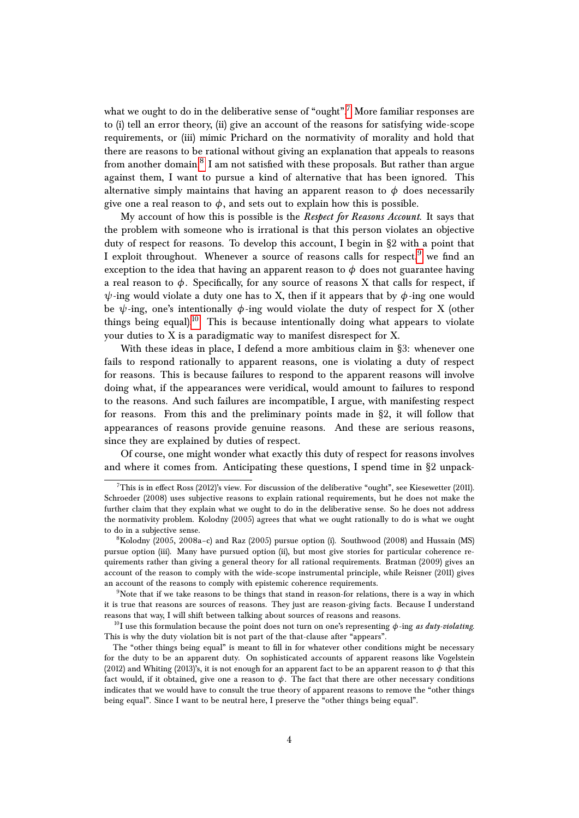what we ought to do in the deliberative sense of "ought".<sup>[7](#page-3-0)</sup> More familiar responses are to (i) tell an error theory, (ii) give an account of the reasons for satisfying wide-scope requirements, or (iii) mimic Prichard on the normativity of morality and hold that there are reasons to be rational without giving an explanation that appeals to reasons from another domain. $^8\,$  $^8\,$  $^8\,$  I am not satisfied with these proposals. But rather than argue against them, I want to pursue a kind of alternative that has been ignored. This alternative simply maintains that having an apparent reason to  $\phi$  does necessarily give one a real reason to  $\phi$ , and sets out to explain how this is possible.

My account of how this is possible is the *Respect for Reasons Account*. It says that the problem with someone who is irrational is that this person violates an objective duty of respect for reasons. To develop this account, I begin in §2 with a point that I exploit throughout. Whenever a source of reasons calls for respect, we find an exception to the idea that having an apparent reason to  $\phi$  does not guarantee having a real reason to  $\phi$ . Specifically, for any source of reasons X that calls for respect, if  $\psi$ -ing would violate a duty one has to X, then if it appears that by  $\phi$ -ing one would be  $\psi$ -ing, one's intentionally  $\phi$ -ing would violate the duty of respect for X (other things being equal).<sup>[10](#page-3-3)</sup> This is because intentionally doing what appears to violate your duties to  $X$  is a paradigmatic way to manifest disrespect for  $X$ .

With these ideas in place, I defend a more ambitious claim in §3: whenever one fails to respond rationally to apparent reasons, one is violating a duty of respect for reasons. This is because failures to respond to the apparent reasons will involve doing what, if the appearances were veridical, would amount to failures to respond to the reasons. And such failures are incompatible, I argue, with manifesting respect for reasons. From this and the preliminary points made in §2, it will follow that appearances of reasons provide genuine reasons. And these are serious reasons, since they are explained by duties of respect.

Of course, one might wonder what exactly this duty of respect for reasons involves and where it comes from. Anticipating these questions, I spend time in §2 unpack-

<span id="page-3-0"></span><sup>&</sup>lt;sup>7</sup>This is in effect Ross (2012)'s view. For discussion of the deliberative "ought", see Kiesewetter (2011). Schroeder (2008) uses subjective reasons to explain rational requirements, but he does not make the further claim that they explain what we ought to do in the deliberative sense. So he does not address the normativity problem. Kolodny (2005) agrees that what we ought rationally to do is what we ought to do in a subjective sense.

<span id="page-3-1"></span> $8Kolodny$  (2005, 2008a-c) and Raz (2005) pursue option (i). Southwood (2008) and Hussain (MS) pursue option (iii). Many have pursued option (ii), but most give stories for particular coherence requirements rather than giving a general theory for all rational requirements. Bratman (2009) gives an account of the reason to comply with the wide-scope instrumental principle, while Reisner (2011) gives an account of the reasons to comply with epistemic coherence requirements.

<span id="page-3-2"></span><sup>&</sup>lt;sup>9</sup>Note that if we take reasons to be things that stand in reason-for relations, there is a way in which it is true that reasons are sources of reasons. They just are reason-giving facts. Because I understand reasons that way, I will shift between talking about sources of reasons and reasons.

<span id="page-3-3"></span><sup>10</sup>I use this formulation because the point does not turn on one's representing *φ*-ing *as duty-violating*. This is why the duty violation bit is not part of the that-clause after "appears".

The "other things being equal" is meant to fill in for whatever other conditions might be necessary for the duty to be an apparent duty. On sophisticated accounts of apparent reasons like Vogelstein (2012) and Whiting (2013)'s, it is not enough for an apparent fact to be an apparent reason to  $\phi$  that this fact would, if it obtained, give one a reason to  $\phi$ . The fact that there are other necessary conditions indicates that we would have to consult the true theory of apparent reasons to remove the "other things being equal". Since I want to be neutral here, I preserve the "other things being equal".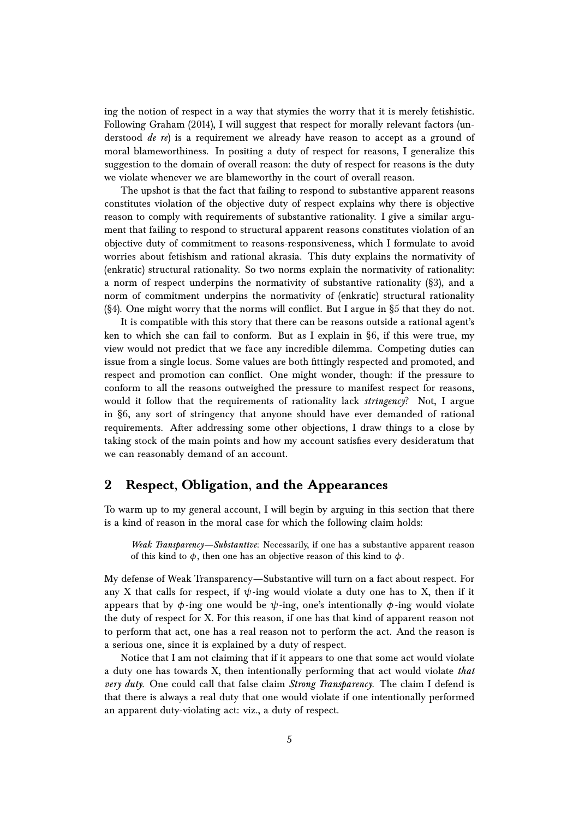ing the notion of respect in a way that stymies the worry that it is merely fetishistic. Following Graham (2014), I will suggest that respect for morally relevant factors (understood *de re*) is a requirement we already have reason to accept as a ground of moral blameworthiness. In positing a duty of respect for reasons, I generalize this suggestion to the domain of overall reason: the duty of respect for reasons is the duty we violate whenever we are blameworthy in the court of overall reason.

The upshot is that the fact that failing to respond to substantive apparent reasons constitutes violation of the objective duty of respect explains why there is objective reason to comply with requirements of substantive rationality. I give a similar argument that failing to respond to structural apparent reasons constitutes violation of an objective duty of commitment to reasons-responsiveness, which I formulate to avoid worries about fetishism and rational akrasia. This duty explains the normativity of (enkratic) structural rationality. So two norms explain the normativity of rationality: a norm of respect underpins the normativity of substantive rationality (§3), and a norm of commitment underpins the normativity of (enkratic) structural rationality (§4). One might worry that the norms will conflict. But I argue in §5 that they do not.

It is compatible with this story that there can be reasons outside a rational agent's ken to which she can fail to conform. But as I explain in §6, if this were true, my view would not predict that we face any incredible dilemma. Competing duties can issue from a single locus. Some values are both fittingly respected and promoted, and respect and promotion can conflict. One might wonder, though: if the pressure to conform to all the reasons outweighed the pressure to manifest respect for reasons, would it follow that the requirements of rationality lack *stringency*? Not, I argue in §6, any sort of stringency that anyone should have ever demanded of rational requirements. After addressing some other objections, I draw things to a close by taking stock of the main points and how my account satisfies every desideratum that we can reasonably demand of an account.

# **2 Respect, Obligation, and the Appearances**

To warm up to my general account, I will begin by arguing in this section that there is a kind of reason in the moral case for which the following claim holds:

*Weak Transparency—Substantive*: Necessarily, if one has a substantive apparent reason of this kind to  $\phi$ , then one has an objective reason of this kind to  $\phi$ .

My defense of Weak Transparency—Substantive will turn on a fact about respect. For any X that calls for respect, if  $\psi$ -ing would violate a duty one has to X, then if it appears that by  $\phi$ -ing one would be  $\psi$ -ing, one's intentionally  $\phi$ -ing would violate the duty of respect for X. For this reason, if one has that kind of apparent reason not to perform that act, one has a real reason not to perform the act. And the reason is a serious one, since it is explained by a duty of respect.

Notice that I am not claiming that if it appears to one that some act would violate a duty one has towards X, then intentionally performing that act would violate *that very duty*. One could call that false claim *Strong Transparency*. The claim I defend is that there is always a real duty that one would violate if one intentionally performed an apparent duty-violating act: viz., a duty of respect.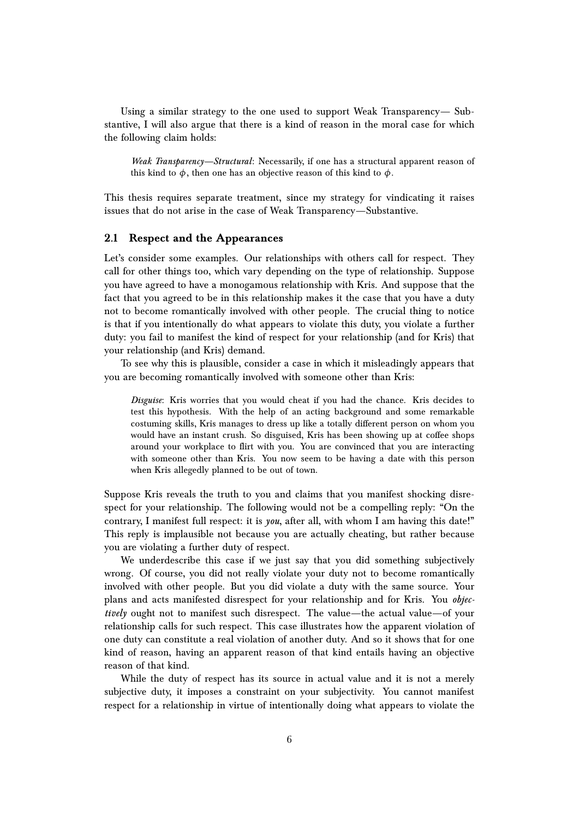Using a similar strategy to the one used to support Weak Transparency— Substantive, I will also argue that there is a kind of reason in the moral case for which the following claim holds:

*Weak Transparency—Structural*: Necessarily, if one has a structural apparent reason of this kind to  $\phi$ , then one has an objective reason of this kind to  $\phi$ .

This thesis requires separate treatment, since my strategy for vindicating it raises issues that do not arise in the case of Weak Transparency—Substantive.

### **2.1 Respect and the Appearances**

Let's consider some examples. Our relationships with others call for respect. They call for other things too, which vary depending on the type of relationship. Suppose you have agreed to have a monogamous relationship with Kris. And suppose that the fact that you agreed to be in this relationship makes it the case that you have a duty not to become romantically involved with other people. The crucial thing to notice is that if you intentionally do what appears to violate this duty, you violate a further duty: you fail to manifest the kind of respect for your relationship (and for Kris) that your relationship (and Kris) demand.

To see why this is plausible, consider a case in which it misleadingly appears that you are becoming romantically involved with someone other than Kris:

*Disguise*: Kris worries that you would cheat if you had the chance. Kris decides to test this hypothesis. With the help of an acting background and some remarkable costuming skills, Kris manages to dress up like a totally different person on whom you would have an instant crush. So disguised, Kris has been showing up at coffee shops around your workplace to flirt with you. You are convinced that you are interacting with someone other than Kris. You now seem to be having a date with this person when Kris allegedly planned to be out of town.

Suppose Kris reveals the truth to you and claims that you manifest shocking disrespect for your relationship. The following would not be a compelling reply: "On the contrary, I manifest full respect: it is *you*, after all, with whom I am having this date!" This reply is implausible not because you are actually cheating, but rather because you are violating a further duty of respect.

We underdescribe this case if we just say that you did something subjectively wrong. Of course, you did not really violate your duty not to become romantically involved with other people. But you did violate a duty with the same source. Your plans and acts manifested disrespect for your relationship and for Kris. You *objectively* ought not to manifest such disrespect. The value—the actual value—of your relationship calls for such respect. This case illustrates how the apparent violation of one duty can constitute a real violation of another duty. And so it shows that for one kind of reason, having an apparent reason of that kind entails having an objective reason of that kind.

While the duty of respect has its source in actual value and it is not a merely subjective duty, it imposes a constraint on your subjectivity. You cannot manifest respect for a relationship in virtue of intentionally doing what appears to violate the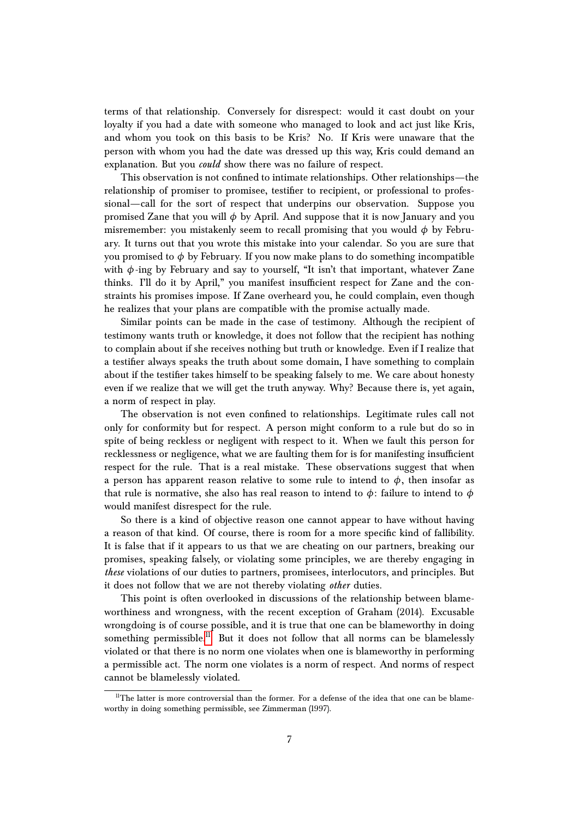terms of that relationship. Conversely for disrespect: would it cast doubt on your loyalty if you had a date with someone who managed to look and act just like Kris, and whom you took on this basis to be Kris? No. If Kris were unaware that the person with whom you had the date was dressed up this way, Kris could demand an explanation. But you *could* show there was no failure of respect.

This observation is not confined to intimate relationships. Other relationships—the relationship of promiser to promisee, testifier to recipient, or professional to professional—call for the sort of respect that underpins our observation. Suppose you promised Zane that you will *φ* by April. And suppose that it is now January and you misremember: you mistakenly seem to recall promising that you would *φ* by February. It turns out that you wrote this mistake into your calendar. So you are sure that you promised to  $\phi$  by February. If you now make plans to do something incompatible with  $\phi$ -ing by February and say to yourself, "It isn't that important, whatever Zane thinks. I'll do it by April," you manifest insufficient respect for Zane and the constraints his promises impose. If Zane overheard you, he could complain, even though he realizes that your plans are compatible with the promise actually made.

Similar points can be made in the case of testimony. Although the recipient of testimony wants truth or knowledge, it does not follow that the recipient has nothing to complain about if she receives nothing but truth or knowledge. Even if I realize that a testifier always speaks the truth about some domain, I have something to complain about if the testifier takes himself to be speaking falsely to me. We care about honesty even if we realize that we will get the truth anyway. Why? Because there is, yet again, a norm of respect in play.

The observation is not even confined to relationships. Legitimate rules call not only for conformity but for respect. A person might conform to a rule but do so in spite of being reckless or negligent with respect to it. When we fault this person for recklessness or negligence, what we are faulting them for is for manifesting insufficient respect for the rule. That is a real mistake. These observations suggest that when a person has apparent reason relative to some rule to intend to  $\phi$ , then insofar as that rule is normative, she also has real reason to intend to  $\phi$ : failure to intend to  $\phi$ would manifest disrespect for the rule.

So there is a kind of objective reason one cannot appear to have without having a reason of that kind. Of course, there is room for a more specific kind of fallibility. It is false that if it appears to us that we are cheating on our partners, breaking our promises, speaking falsely, or violating some principles, we are thereby engaging in *these* violations of our duties to partners, promisees, interlocutors, and principles. But it does not follow that we are not thereby violating *other* duties.

This point is often overlooked in discussions of the relationship between blameworthiness and wrongness, with the recent exception of Graham (2014). Excusable wrongdoing is of course possible, and it is true that one can be blameworthy in doing something permissible.<sup>[11](#page-6-0)</sup> But it does not follow that all norms can be blamelessly violated or that there is no norm one violates when one is blameworthy in performing a permissible act. The norm one violates is a norm of respect. And norms of respect cannot be blamelessly violated.

<span id="page-6-0"></span> $11$ The latter is more controversial than the former. For a defense of the idea that one can be blameworthy in doing something permissible, see Zimmerman (1997).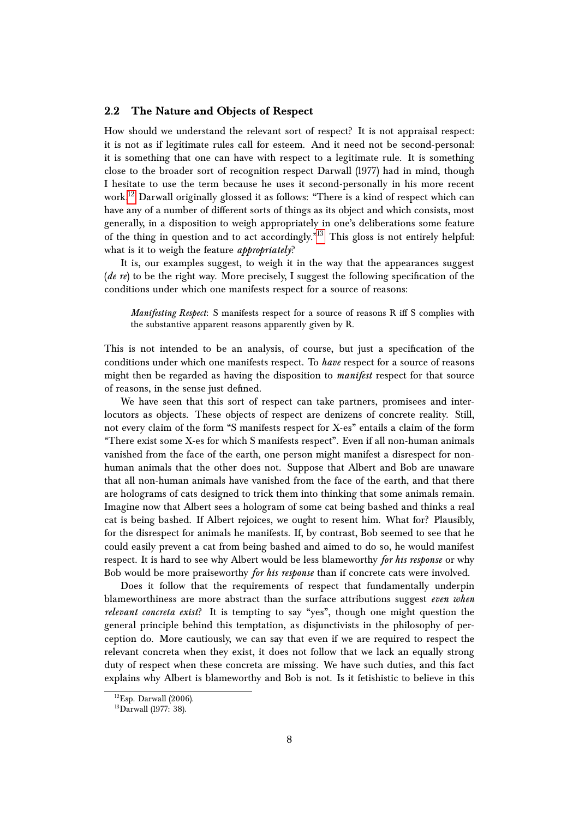### **2.2 The Nature and Objects of Respect**

How should we understand the relevant sort of respect? It is not appraisal respect: it is not as if legitimate rules call for esteem. And it need not be second-personal: it is something that one can have with respect to a legitimate rule. It is something close to the broader sort of recognition respect Darwall (1977) had in mind, though I hesitate to use the term because he uses it second-personally in his more recent work.<sup>[12](#page-7-0)</sup> Darwall originally glossed it as follows: "There is a kind of respect which can have any of a number of different sorts of things as its object and which consists, most generally, in a disposition to weigh appropriately in one's deliberations some feature of the thing in question and to act accordingly. $"^{13}$  $"^{13}$  $"^{13}$  This gloss is not entirely helpful: what is it to weigh the feature *appropriately*?

It is, our examples suggest, to weigh it in the way that the appearances suggest (*de re*) to be the right way. More precisely, I suggest the following specification of the conditions under which one manifests respect for a source of reasons:

*Manifesting Respect*: S manifests respect for a source of reasons R iff S complies with the substantive apparent reasons apparently given by R.

This is not intended to be an analysis, of course, but just a specification of the conditions under which one manifests respect. To *have* respect for a source of reasons might then be regarded as having the disposition to *manifest* respect for that source of reasons, in the sense just defined.

We have seen that this sort of respect can take partners, promisees and interlocutors as objects. These objects of respect are denizens of concrete reality. Still, not every claim of the form "S manifests respect for X-es" entails a claim of the form "There exist some X-es for which S manifests respect". Even if all non-human animals vanished from the face of the earth, one person might manifest a disrespect for nonhuman animals that the other does not. Suppose that Albert and Bob are unaware that all non-human animals have vanished from the face of the earth, and that there are holograms of cats designed to trick them into thinking that some animals remain. Imagine now that Albert sees a hologram of some cat being bashed and thinks a real cat is being bashed. If Albert rejoices, we ought to resent him. What for? Plausibly, for the disrespect for animals he manifests. If, by contrast, Bob seemed to see that he could easily prevent a cat from being bashed and aimed to do so, he would manifest respect. It is hard to see why Albert would be less blameworthy *for his response* or why Bob would be more praiseworthy *for his response* than if concrete cats were involved.

Does it follow that the requirements of respect that fundamentally underpin blameworthiness are more abstract than the surface attributions suggest *even when relevant concreta exist*? It is tempting to say "yes", though one might question the general principle behind this temptation, as disjunctivists in the philosophy of perception do. More cautiously, we can say that even if we are required to respect the relevant concreta when they exist, it does not follow that we lack an equally strong duty of respect when these concreta are missing. We have such duties, and this fact explains why Albert is blameworthy and Bob is not. Is it fetishistic to believe in this

<span id="page-7-0"></span> ${}^{12}$ Esp. Darwall (2006).

<span id="page-7-1"></span><sup>&</sup>lt;sup>13</sup>Darwall (1977: 38).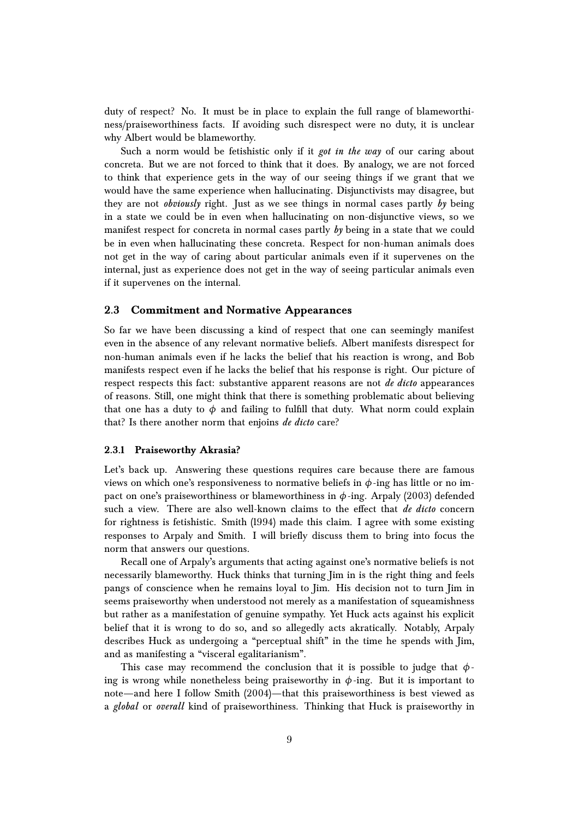duty of respect? No. It must be in place to explain the full range of blameworthiness/praiseworthiness facts. If avoiding such disrespect were no duty, it is unclear why Albert would be blameworthy.

Such a norm would be fetishistic only if it *got in the way* of our caring about concreta. But we are not forced to think that it does. By analogy, we are not forced to think that experience gets in the way of our seeing things if we grant that we would have the same experience when hallucinating. Disjunctivists may disagree, but they are not *obviously* right. Just as we see things in normal cases partly *by* being in a state we could be in even when hallucinating on non-disjunctive views, so we manifest respect for concreta in normal cases partly *by* being in a state that we could be in even when hallucinating these concreta. Respect for non-human animals does not get in the way of caring about particular animals even if it supervenes on the internal, just as experience does not get in the way of seeing particular animals even if it supervenes on the internal.

### **2.3 Commitment and Normative Appearances**

So far we have been discussing a kind of respect that one can seemingly manifest even in the absence of any relevant normative beliefs. Albert manifests disrespect for non-human animals even if he lacks the belief that his reaction is wrong, and Bob manifests respect even if he lacks the belief that his response is right. Our picture of respect respects this fact: substantive apparent reasons are not *de dicto* appearances of reasons. Still, one might think that there is something problematic about believing that one has a duty to  $\phi$  and failing to fulfill that duty. What norm could explain that? Is there another norm that enjoins *de dicto* care?

### **2.3.1 Praiseworthy Akrasia?**

Let's back up. Answering these questions requires care because there are famous views on which one's responsiveness to normative beliefs in  $\phi$ -ing has little or no impact on one's praiseworthiness or blameworthiness in *φ*-ing. Arpaly (2003) defended such a view. There are also well-known claims to the effect that *de dicto* concern for rightness is fetishistic. Smith (1994) made this claim. I agree with some existing responses to Arpaly and Smith. I will briefly discuss them to bring into focus the norm that answers our questions.

Recall one of Arpaly's arguments that acting against one's normative beliefs is not necessarily blameworthy. Huck thinks that turning Jim in is the right thing and feels pangs of conscience when he remains loyal to Jim. His decision not to turn Jim in seems praiseworthy when understood not merely as a manifestation of squeamishness but rather as a manifestation of genuine sympathy. Yet Huck acts against his explicit belief that it is wrong to do so, and so allegedly acts akratically. Notably, Arpaly describes Huck as undergoing a "perceptual shift" in the time he spends with Jim, and as manifesting a "visceral egalitarianism".

This case may recommend the conclusion that it is possible to judge that *φ*ing is wrong while nonetheless being praiseworthy in  $\phi$ -ing. But it is important to note—and here I follow Smith (2004)—that this praiseworthiness is best viewed as a *global* or *overall* kind of praiseworthiness. Thinking that Huck is praiseworthy in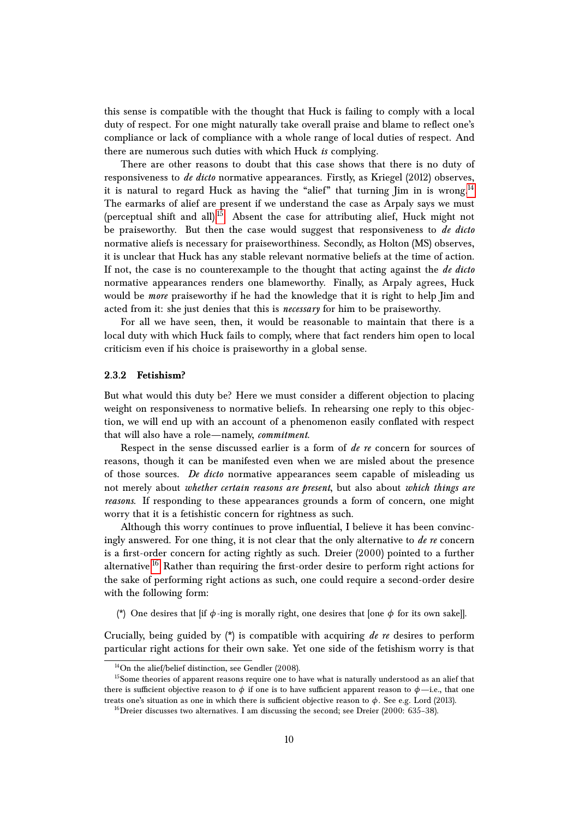this sense is compatible with the thought that Huck is failing to comply with a local duty of respect. For one might naturally take overall praise and blame to reflect one's compliance or lack of compliance with a whole range of local duties of respect. And there are numerous such duties with which Huck *is* complying.

There are other reasons to doubt that this case shows that there is no duty of responsiveness to *de dicto* normative appearances. Firstly, as Kriegel (2012) observes, it is natural to regard Huck as having the "alief" that turning  $\lim_{n \to \infty}$  in is wrong.<sup>[14](#page-9-0)</sup> The earmarks of alief are present if we understand the case as Arpaly says we must (perceptual shift and all).<sup>[15](#page-9-1)</sup> Absent the case for attributing alief, Huck might not be praiseworthy. But then the case would suggest that responsiveness to *de dicto* normative aliefs is necessary for praiseworthiness. Secondly, as Holton (MS) observes, it is unclear that Huck has any stable relevant normative beliefs at the time of action. If not, the case is no counterexample to the thought that acting against the *de dicto* normative appearances renders one blameworthy. Finally, as Arpaly agrees, Huck would be *more* praiseworthy if he had the knowledge that it is right to help Jim and acted from it: she just denies that this is *necessary* for him to be praiseworthy.

For all we have seen, then, it would be reasonable to maintain that there is a local duty with which Huck fails to comply, where that fact renders him open to local criticism even if his choice is praiseworthy in a global sense.

### **2.3.2 Fetishism?**

But what would this duty be? Here we must consider a different objection to placing weight on responsiveness to normative beliefs. In rehearsing one reply to this objection, we will end up with an account of a phenomenon easily conflated with respect that will also have a role—namely, *commitment*.

Respect in the sense discussed earlier is a form of *de re* concern for sources of reasons, though it can be manifested even when we are misled about the presence of those sources. *De dicto* normative appearances seem capable of misleading us not merely about *whether certain reasons are present*, but also about *which things are reasons*. If responding to these appearances grounds a form of concern, one might worry that it is a fetishistic concern for rightness as such.

Although this worry continues to prove influential, I believe it has been convincingly answered. For one thing, it is not clear that the only alternative to *de re* concern is a first-order concern for acting rightly as such. Dreier (2000) pointed to a further alternative.<sup>[16](#page-9-2)</sup> Rather than requiring the first-order desire to perform right actions for the sake of performing right actions as such, one could require a second-order desire with the following form:

(\*) One desires that [if *φ*-ing is morally right, one desires that [one *φ* for its own sake]].

Crucially, being guided by (\*) is compatible with acquiring *de re* desires to perform particular right actions for their own sake. Yet one side of the fetishism worry is that

<span id="page-9-1"></span><span id="page-9-0"></span> $14$ On the alief/belief distinction, see Gendler (2008).

 $15$ Some theories of apparent reasons require one to have what is naturally understood as an alief that there is sufficient objective reason to  $\phi$  if one is to have sufficient apparent reason to  $\phi$ —i.e., that one treats one's situation as one in which there is sufficient objective reason to *φ*. See e.g. Lord (2013).

<span id="page-9-2"></span><sup>&</sup>lt;sup>16</sup>Dreier discusses two alternatives. I am discussing the second; see Dreier  $(2000: 635-38)$ .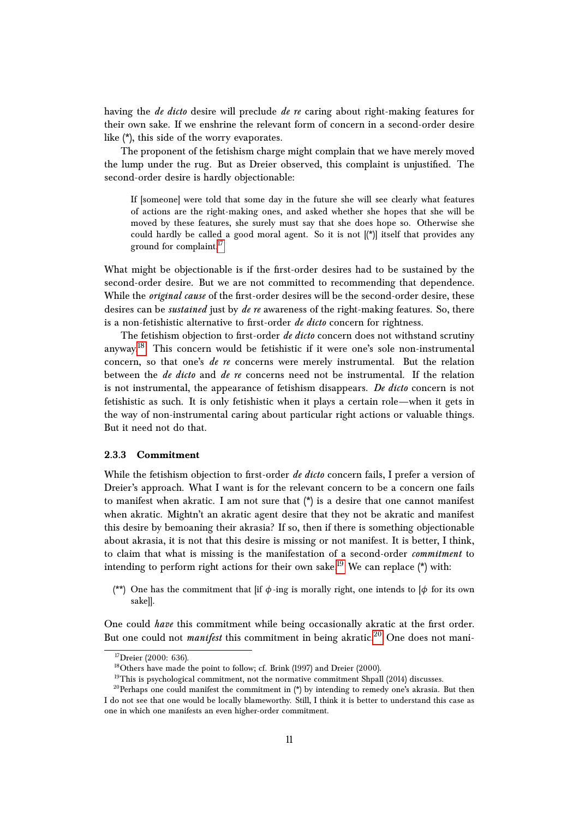having the *de dicto* desire will preclude *de re* caring about right-making features for their own sake. If we enshrine the relevant form of concern in a second-order desire like (\*), this side of the worry evaporates.

The proponent of the fetishism charge might complain that we have merely moved the lump under the rug. But as Dreier observed, this complaint is unjustified. The second-order desire is hardly objectionable:

If [someone] were told that some day in the future she will see clearly what features of actions are the right-making ones, and asked whether she hopes that she will be moved by these features, she surely must say that she does hope so. Otherwise she could hardly be called a good moral agent. So it is not  $[(*)]$  itself that provides any ground for complaint.<sup>[17](#page-10-0)</sup>

What might be objectionable is if the first-order desires had to be sustained by the second-order desire. But we are not committed to recommending that dependence. While the *original cause* of the first-order desires will be the second-order desire, these desires can be *sustained* just by *de re* awareness of the right-making features. So, there is a non-fetishistic alternative to first-order *de dicto* concern for rightness.

The fetishism objection to first-order *de dicto* concern does not withstand scrutiny anyway.<sup>[18](#page-10-1)</sup> This concern would be fetishistic if it were one's sole non-instrumental concern, so that one's *de re* concerns were merely instrumental. But the relation between the *de dicto* and *de re* concerns need not be instrumental. If the relation is not instrumental, the appearance of fetishism disappears. *De dicto* concern is not fetishistic as such. It is only fetishistic when it plays a certain role—when it gets in the way of non-instrumental caring about particular right actions or valuable things. But it need not do that.

#### **2.3.3 Commitment**

While the fetishism objection to first-order *de dicto* concern fails, I prefer a version of Dreier's approach. What I want is for the relevant concern to be a concern one fails to manifest when akratic. I am not sure that  $(*)$  is a desire that one cannot manifest when akratic. Mightn't an akratic agent desire that they not be akratic and manifest this desire by bemoaning their akrasia? If so, then if there is something objectionable about akrasia, it is not that this desire is missing or not manifest. It is better, I think, to claim that what is missing is the manifestation of a second-order *commitment* to intending to perform right actions for their own sake.<sup>[19](#page-10-2)</sup> We can replace (\*) with:

(\*\*) One has the commitment that [if *φ*-ing is morally right, one intends to [*φ* for its own sake]].

One could *have* this commitment while being occasionally akratic at the first order. But one could not *manifest* this commitment in being akratic.<sup>[20](#page-10-3)</sup> One does not mani-

<span id="page-10-0"></span> $17$ Dreier (2000: 636).

<span id="page-10-1"></span><sup>&</sup>lt;sup>18</sup>Others have made the point to follow; cf. Brink (1997) and Dreier (2000).

<span id="page-10-3"></span><span id="page-10-2"></span><sup>&</sup>lt;sup>19</sup>This is psychological commitment, not the normative commitment Shpall (2014) discusses.

<sup>&</sup>lt;sup>20</sup>Perhaps one could manifest the commitment in  $(*)$  by intending to remedy one's akrasia. But then I do not see that one would be locally blameworthy. Still, I think it is better to understand this case as one in which one manifests an even higher-order commitment.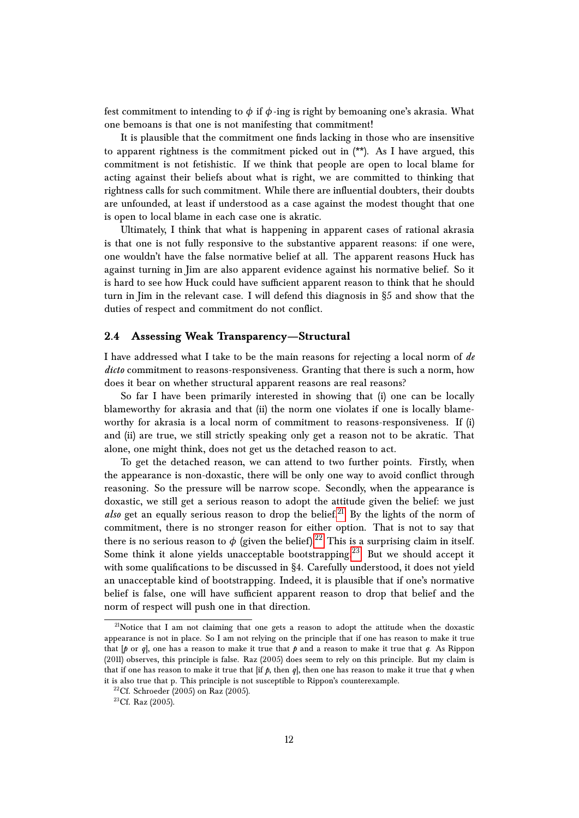fest commitment to intending to  $\phi$  if  $\phi$ -ing is right by bemoaning one's akrasia. What one bemoans is that one is not manifesting that commitment!

It is plausible that the commitment one finds lacking in those who are insensitive to apparent rightness is the commitment picked out in (\*\*). As I have argued, this commitment is not fetishistic. If we think that people are open to local blame for acting against their beliefs about what is right, we are committed to thinking that rightness calls for such commitment. While there are influential doubters, their doubts are unfounded, at least if understood as a case against the modest thought that one is open to local blame in each case one is akratic.

Ultimately, I think that what is happening in apparent cases of rational akrasia is that one is not fully responsive to the substantive apparent reasons: if one were, one wouldn't have the false normative belief at all. The apparent reasons Huck has against turning in Jim are also apparent evidence against his normative belief. So it is hard to see how Huck could have sufficient apparent reason to think that he should turn in Jim in the relevant case. I will defend this diagnosis in §5 and show that the duties of respect and commitment do not conflict.

### **2.4 Assessing Weak Transparency—Structural**

I have addressed what I take to be the main reasons for rejecting a local norm of *de dicto* commitment to reasons-responsiveness. Granting that there is such a norm, how does it bear on whether structural apparent reasons are real reasons?

So far I have been primarily interested in showing that (i) one can be locally blameworthy for akrasia and that (ii) the norm one violates if one is locally blameworthy for akrasia is a local norm of commitment to reasons-responsiveness. If (i) and (ii) are true, we still strictly speaking only get a reason not to be akratic. That alone, one might think, does not get us the detached reason to act.

To get the detached reason, we can attend to two further points. Firstly, when the appearance is non-doxastic, there will be only one way to avoid conflict through reasoning. So the pressure will be narrow scope. Secondly, when the appearance is doxastic, we still get a serious reason to adopt the attitude given the belief: we just *also* get an equally serious reason to drop the belief.<sup>[21](#page-11-0)</sup> By the lights of the norm of commitment, there is no stronger reason for either option. That is not to say that there is no serious reason to  $\phi$  (given the belief).<sup>[22](#page-11-1)</sup> This is a surprising claim in itself. Some think it alone yields unacceptable bootstrapping.<sup>[23](#page-11-2)</sup> But we should accept it with some qualifications to be discussed in §4. Carefully understood, it does not yield an unacceptable kind of bootstrapping. Indeed, it is plausible that if one's normative belief is false, one will have sufficient apparent reason to drop that belief and the norm of respect will push one in that direction.

<span id="page-11-0"></span><sup>&</sup>lt;sup>21</sup>Notice that I am not claiming that one gets a reason to adopt the attitude when the doxastic appearance is not in place. So I am not relying on the principle that if one has reason to make it true that  $\lbrack \phi$  or  $q$ , one has a reason to make it true that  $\phi$  and a reason to make it true that  $q$ . As Rippon (2011) observes, this principle is false. Raz (2005) does seem to rely on this principle. But my claim is that if one has reason to make it true that  $\int$ if  $\phi$ , then  $q$ , then one has reason to make it true that  $q$  when it is also true that p. This principle is not susceptible to Rippon's counterexample.

<span id="page-11-1"></span> $22$ Cf. Schroeder (2005) on Raz (2005).

<span id="page-11-2"></span> $23Cf.$  Raz (2005).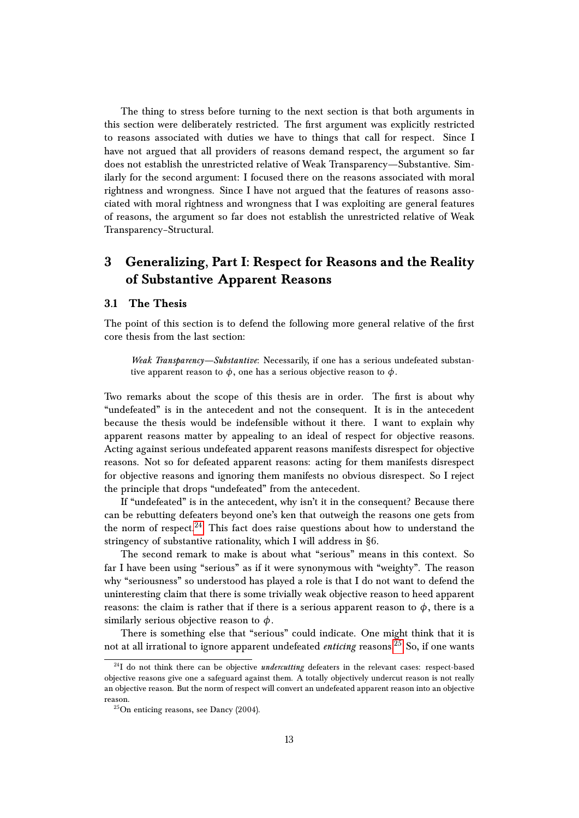The thing to stress before turning to the next section is that both arguments in this section were deliberately restricted. The first argument was explicitly restricted to reasons associated with duties we have to things that call for respect. Since I have not argued that all providers of reasons demand respect, the argument so far does not establish the unrestricted relative of Weak Transparency—Substantive. Similarly for the second argument: I focused there on the reasons associated with moral rightness and wrongness. Since I have not argued that the features of reasons associated with moral rightness and wrongness that I was exploiting are general features of reasons, the argument so far does not establish the unrestricted relative of Weak Transparency–Structural.

# **3 Generalizing, Part I: Respect for Reasons and the Reality of Substantive Apparent Reasons**

### **3.1 The Thesis**

The point of this section is to defend the following more general relative of the first core thesis from the last section:

*Weak Transparency—Substantive*: Necessarily, if one has a serious undefeated substantive apparent reason to  $\phi$ , one has a serious objective reason to  $\phi$ .

Two remarks about the scope of this thesis are in order. The first is about why "undefeated" is in the antecedent and not the consequent. It is in the antecedent because the thesis would be indefensible without it there. I want to explain why apparent reasons matter by appealing to an ideal of respect for objective reasons. Acting against serious undefeated apparent reasons manifests disrespect for objective reasons. Not so for defeated apparent reasons: acting for them manifests disrespect for objective reasons and ignoring them manifests no obvious disrespect. So I reject the principle that drops "undefeated" from the antecedent.

If "undefeated" is in the antecedent, why isn't it in the consequent? Because there can be rebutting defeaters beyond one's ken that outweigh the reasons one gets from the norm of respect.<sup>[24](#page-12-0)</sup> This fact does raise questions about how to understand the stringency of substantive rationality, which I will address in §6.

The second remark to make is about what "serious" means in this context. So far I have been using "serious" as if it were synonymous with "weighty". The reason why "seriousness" so understood has played a role is that I do not want to defend the uninteresting claim that there is some trivially weak objective reason to heed apparent reasons: the claim is rather that if there is a serious apparent reason to  $\phi$ , there is a similarly serious objective reason to *φ*.

There is something else that "serious" could indicate. One might think that it is not at all irrational to ignore apparent undefeated *enticing* reasons.<sup>[25](#page-12-1)</sup> So, if one wants

<span id="page-12-0"></span><sup>&</sup>lt;sup>24</sup>I do not think there can be objective *undercutting* defeaters in the relevant cases: respect-based objective reasons give one a safeguard against them. A totally objectively undercut reason is not really an objective reason. But the norm of respect will convert an undefeated apparent reason into an objective reason.

<span id="page-12-1"></span> $^{25}$ On enticing reasons, see Dancy (2004).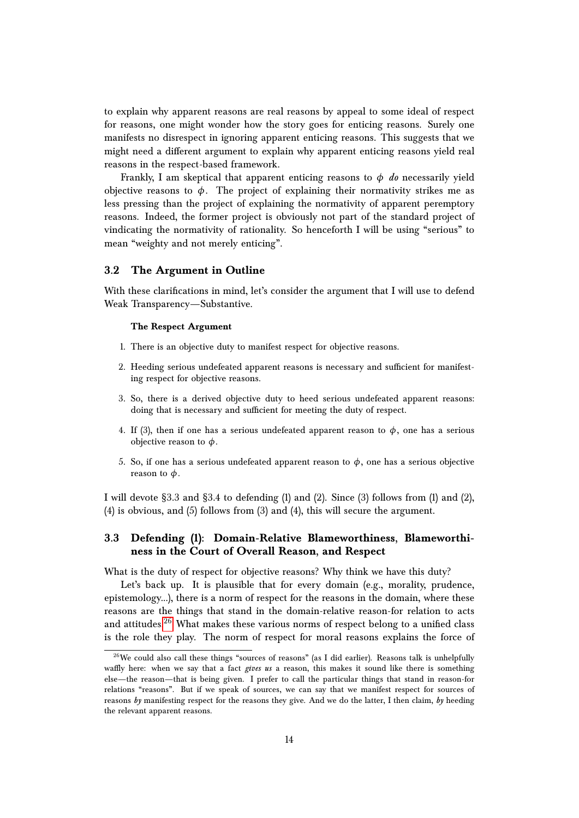to explain why apparent reasons are real reasons by appeal to some ideal of respect for reasons, one might wonder how the story goes for enticing reasons. Surely one manifests no disrespect in ignoring apparent enticing reasons. This suggests that we might need a different argument to explain why apparent enticing reasons yield real reasons in the respect-based framework.

Frankly, I am skeptical that apparent enticing reasons to  $\phi$  *do* necessarily yield objective reasons to  $\phi$ . The project of explaining their normativity strikes me as less pressing than the project of explaining the normativity of apparent peremptory reasons. Indeed, the former project is obviously not part of the standard project of vindicating the normativity of rationality. So henceforth I will be using "serious" to mean "weighty and not merely enticing".

### **3.2 The Argument in Outline**

With these clarifications in mind, let's consider the argument that I will use to defend Weak Transparency—Substantive.

### **The Respect Argument**

- 1. There is an objective duty to manifest respect for objective reasons.
- 2. Heeding serious undefeated apparent reasons is necessary and sufficient for manifesting respect for objective reasons.
- 3. So, there is a derived objective duty to heed serious undefeated apparent reasons: doing that is necessary and sufficient for meeting the duty of respect.
- 4. If (3), then if one has a serious undefeated apparent reason to  $\phi$ , one has a serious objective reason to *φ*.
- 5. So, if one has a serious undefeated apparent reason to  $\phi$ , one has a serious objective reason to *φ*.

I will devote §3.3 and §3.4 to defending (1) and (2). Since (3) follows from (1) and (2), (4) is obvious, and (5) follows from (3) and (4), this will secure the argument.

### **3.3 Defending (1): Domain-Relative Blameworthiness, Blameworthiness in the Court of Overall Reason, and Respect**

What is the duty of respect for objective reasons? Why think we have this duty?

Let's back up. It is plausible that for every domain (e.g., morality, prudence, epistemology...), there is a norm of respect for the reasons in the domain, where these reasons are the things that stand in the domain-relative reason-for relation to acts and attitudes. $26$  What makes these various norms of respect belong to a unified class is the role they play. The norm of respect for moral reasons explains the force of

<span id="page-13-0"></span><sup>&</sup>lt;sup>26</sup>We could also call these things "sources of reasons" (as I did earlier). Reasons talk is unhelpfully waffly here: when we say that a fact *gives us* a reason, this makes it sound like there is something else—the reason—that is being given. I prefer to call the particular things that stand in reason-for relations "reasons". But if we speak of sources, we can say that we manifest respect for sources of reasons *by* manifesting respect for the reasons they give. And we do the latter, I then claim, *by* heeding the relevant apparent reasons.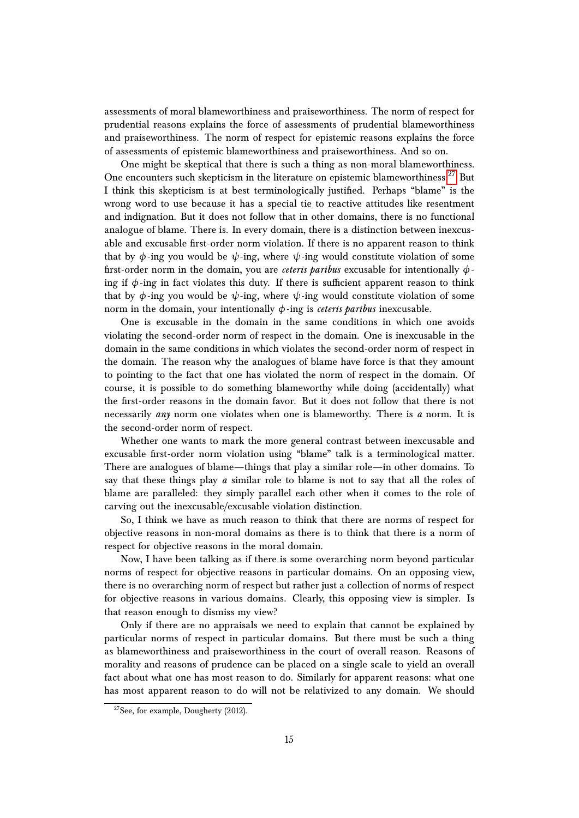assessments of moral blameworthiness and praiseworthiness. The norm of respect for prudential reasons explains the force of assessments of prudential blameworthiness and praiseworthiness. The norm of respect for epistemic reasons explains the force of assessments of epistemic blameworthiness and praiseworthiness. And so on.

One might be skeptical that there is such a thing as non-moral blameworthiness. One encounters such skepticism in the literature on epistemic blameworthiness.<sup>[27](#page-14-0)</sup> But I think this skepticism is at best terminologically justified. Perhaps "blame" is the wrong word to use because it has a special tie to reactive attitudes like resentment and indignation. But it does not follow that in other domains, there is no functional analogue of blame. There is. In every domain, there is a distinction between inexcusable and excusable first-order norm violation. If there is no apparent reason to think that by  $\phi$ -ing you would be  $\psi$ -ing, where  $\psi$ -ing would constitute violation of some first-order norm in the domain, you are *ceteris paribus* excusable for intentionally *φ*ing if  $\phi$ -ing in fact violates this duty. If there is sufficient apparent reason to think that by  $\phi$ -ing you would be  $\psi$ -ing, where  $\psi$ -ing would constitute violation of some norm in the domain, your intentionally  $\phi$ -ing is *ceteris paribus* inexcusable.

One is excusable in the domain in the same conditions in which one avoids violating the second-order norm of respect in the domain. One is inexcusable in the domain in the same conditions in which violates the second-order norm of respect in the domain. The reason why the analogues of blame have force is that they amount to pointing to the fact that one has violated the norm of respect in the domain. Of course, it is possible to do something blameworthy while doing (accidentally) what the first-order reasons in the domain favor. But it does not follow that there is not necessarily *any* norm one violates when one is blameworthy. There is *a* norm. It is the second-order norm of respect.

Whether one wants to mark the more general contrast between inexcusable and excusable first-order norm violation using "blame" talk is a terminological matter. There are analogues of blame—things that play a similar role—in other domains. To say that these things play *a* similar role to blame is not to say that all the roles of blame are paralleled: they simply parallel each other when it comes to the role of carving out the inexcusable/excusable violation distinction.

So, I think we have as much reason to think that there are norms of respect for objective reasons in non-moral domains as there is to think that there is a norm of respect for objective reasons in the moral domain.

Now, I have been talking as if there is some overarching norm beyond particular norms of respect for objective reasons in particular domains. On an opposing view, there is no overarching norm of respect but rather just a collection of norms of respect for objective reasons in various domains. Clearly, this opposing view is simpler. Is that reason enough to dismiss my view?

Only if there are no appraisals we need to explain that cannot be explained by particular norms of respect in particular domains. But there must be such a thing as blameworthiness and praiseworthiness in the court of overall reason. Reasons of morality and reasons of prudence can be placed on a single scale to yield an overall fact about what one has most reason to do. Similarly for apparent reasons: what one has most apparent reason to do will not be relativized to any domain. We should

<span id="page-14-0"></span><sup>27</sup>See, for example, Dougherty (2012).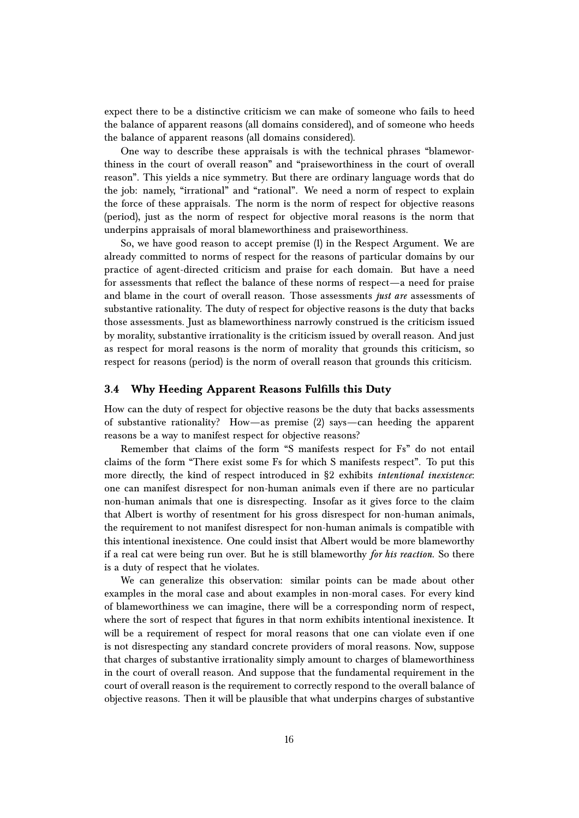expect there to be a distinctive criticism we can make of someone who fails to heed the balance of apparent reasons (all domains considered), and of someone who heeds the balance of apparent reasons (all domains considered).

One way to describe these appraisals is with the technical phrases "blameworthiness in the court of overall reason" and "praiseworthiness in the court of overall reason". This yields a nice symmetry. But there are ordinary language words that do the job: namely, "irrational" and "rational". We need a norm of respect to explain the force of these appraisals. The norm is the norm of respect for objective reasons (period), just as the norm of respect for objective moral reasons is the norm that underpins appraisals of moral blameworthiness and praiseworthiness.

So, we have good reason to accept premise (1) in the Respect Argument. We are already committed to norms of respect for the reasons of particular domains by our practice of agent-directed criticism and praise for each domain. But have a need for assessments that reflect the balance of these norms of respect—a need for praise and blame in the court of overall reason. Those assessments *just are* assessments of substantive rationality. The duty of respect for objective reasons is the duty that backs those assessments. Just as blameworthiness narrowly construed is the criticism issued by morality, substantive irrationality is the criticism issued by overall reason. And just as respect for moral reasons is the norm of morality that grounds this criticism, so respect for reasons (period) is the norm of overall reason that grounds this criticism.

### **3.4 Why Heeding Apparent Reasons Fulfills this Duty**

How can the duty of respect for objective reasons be the duty that backs assessments of substantive rationality? How—as premise (2) says—can heeding the apparent reasons be a way to manifest respect for objective reasons?

Remember that claims of the form "S manifests respect for Fs" do not entail claims of the form "There exist some Fs for which S manifests respect". To put this more directly, the kind of respect introduced in §2 exhibits *intentional inexistence*: one can manifest disrespect for non-human animals even if there are no particular non-human animals that one is disrespecting. Insofar as it gives force to the claim that Albert is worthy of resentment for his gross disrespect for non-human animals, the requirement to not manifest disrespect for non-human animals is compatible with this intentional inexistence. One could insist that Albert would be more blameworthy if a real cat were being run over. But he is still blameworthy *for his reaction*. So there is a duty of respect that he violates.

We can generalize this observation: similar points can be made about other examples in the moral case and about examples in non-moral cases. For every kind of blameworthiness we can imagine, there will be a corresponding norm of respect, where the sort of respect that figures in that norm exhibits intentional inexistence. It will be a requirement of respect for moral reasons that one can violate even if one is not disrespecting any standard concrete providers of moral reasons. Now, suppose that charges of substantive irrationality simply amount to charges of blameworthiness in the court of overall reason. And suppose that the fundamental requirement in the court of overall reason is the requirement to correctly respond to the overall balance of objective reasons. Then it will be plausible that what underpins charges of substantive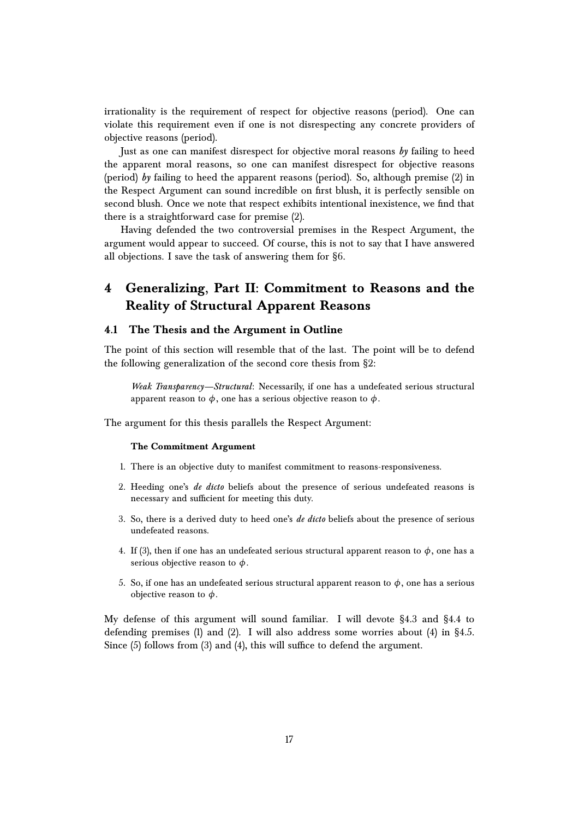irrationality is the requirement of respect for objective reasons (period). One can violate this requirement even if one is not disrespecting any concrete providers of objective reasons (period).

Just as one can manifest disrespect for objective moral reasons *by* failing to heed the apparent moral reasons, so one can manifest disrespect for objective reasons (period) *by* failing to heed the apparent reasons (period). So, although premise (2) in the Respect Argument can sound incredible on first blush, it is perfectly sensible on second blush. Once we note that respect exhibits intentional inexistence, we find that there is a straightforward case for premise (2).

Having defended the two controversial premises in the Respect Argument, the argument would appear to succeed. Of course, this is not to say that I have answered all objections. I save the task of answering them for §6.

# **4 Generalizing, Part II: Commitment to Reasons and the Reality of Structural Apparent Reasons**

### **4.1 The Thesis and the Argument in Outline**

The point of this section will resemble that of the last. The point will be to defend the following generalization of the second core thesis from §2:

*Weak Transparency—Structural*: Necessarily, if one has a undefeated serious structural apparent reason to  $\phi$ , one has a serious objective reason to  $\phi$ .

The argument for this thesis parallels the Respect Argument:

#### **The Commitment Argument**

- 1. There is an objective duty to manifest commitment to reasons-responsiveness.
- 2. Heeding one's *de dicto* beliefs about the presence of serious undefeated reasons is necessary and sufficient for meeting this duty.
- 3. So, there is a derived duty to heed one's *de dicto* beliefs about the presence of serious undefeated reasons.
- 4. If (3), then if one has an undefeated serious structural apparent reason to  $\phi$ , one has a serious objective reason to *φ*.
- 5. So, if one has an undefeated serious structural apparent reason to  $\phi$ , one has a serious objective reason to *φ*.

My defense of this argument will sound familiar. I will devote §4.3 and §4.4 to defending premises (1) and (2). I will also address some worries about (4) in  $\S 4.5$ . Since (5) follows from (3) and (4), this will suffice to defend the argument.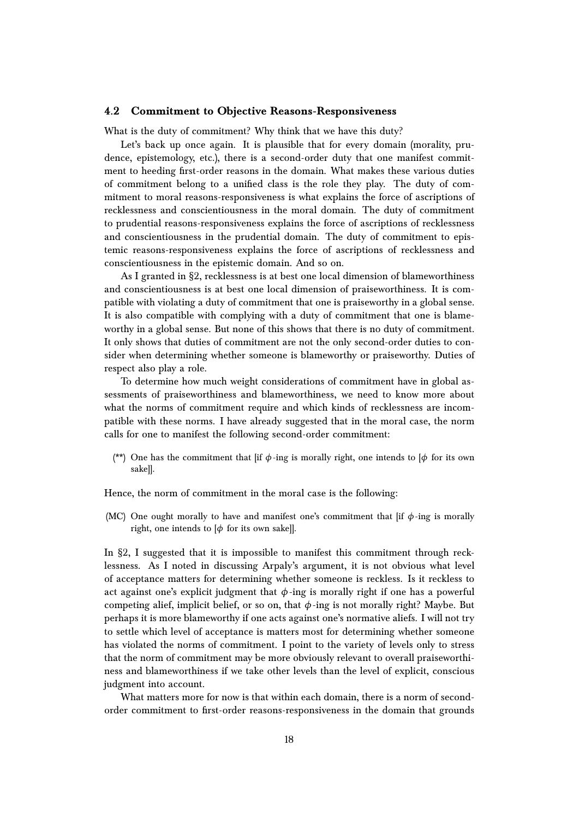### **4.2 Commitment to Objective Reasons-Responsiveness**

What is the duty of commitment? Why think that we have this duty?

Let's back up once again. It is plausible that for every domain (morality, prudence, epistemology, etc.), there is a second-order duty that one manifest commitment to heeding first-order reasons in the domain. What makes these various duties of commitment belong to a unified class is the role they play. The duty of commitment to moral reasons-responsiveness is what explains the force of ascriptions of recklessness and conscientiousness in the moral domain. The duty of commitment to prudential reasons-responsiveness explains the force of ascriptions of recklessness and conscientiousness in the prudential domain. The duty of commitment to epistemic reasons-responsiveness explains the force of ascriptions of recklessness and conscientiousness in the epistemic domain. And so on.

As I granted in §2, recklessness is at best one local dimension of blameworthiness and conscientiousness is at best one local dimension of praiseworthiness. It is compatible with violating a duty of commitment that one is praiseworthy in a global sense. It is also compatible with complying with a duty of commitment that one is blameworthy in a global sense. But none of this shows that there is no duty of commitment. It only shows that duties of commitment are not the only second-order duties to consider when determining whether someone is blameworthy or praiseworthy. Duties of respect also play a role.

To determine how much weight considerations of commitment have in global assessments of praiseworthiness and blameworthiness, we need to know more about what the norms of commitment require and which kinds of recklessness are incompatible with these norms. I have already suggested that in the moral case, the norm calls for one to manifest the following second-order commitment:

(\*\*) One has the commitment that [if *φ*-ing is morally right, one intends to [*φ* for its own sake]].

Hence, the norm of commitment in the moral case is the following:

(MC) One ought morally to have and manifest one's commitment that  $if \phi$ -ing is morally right, one intends to  $[\phi]$  for its own sake]].

In §2, I suggested that it is impossible to manifest this commitment through recklessness. As I noted in discussing Arpaly's argument, it is not obvious what level of acceptance matters for determining whether someone is reckless. Is it reckless to act against one's explicit judgment that  $\phi$ -ing is morally right if one has a powerful competing alief, implicit belief, or so on, that  $\phi$ -ing is not morally right? Maybe. But perhaps it is more blameworthy if one acts against one's normative aliefs. I will not try to settle which level of acceptance is matters most for determining whether someone has violated the norms of commitment. I point to the variety of levels only to stress that the norm of commitment may be more obviously relevant to overall praiseworthiness and blameworthiness if we take other levels than the level of explicit, conscious judgment into account.

What matters more for now is that within each domain, there is a norm of secondorder commitment to first-order reasons-responsiveness in the domain that grounds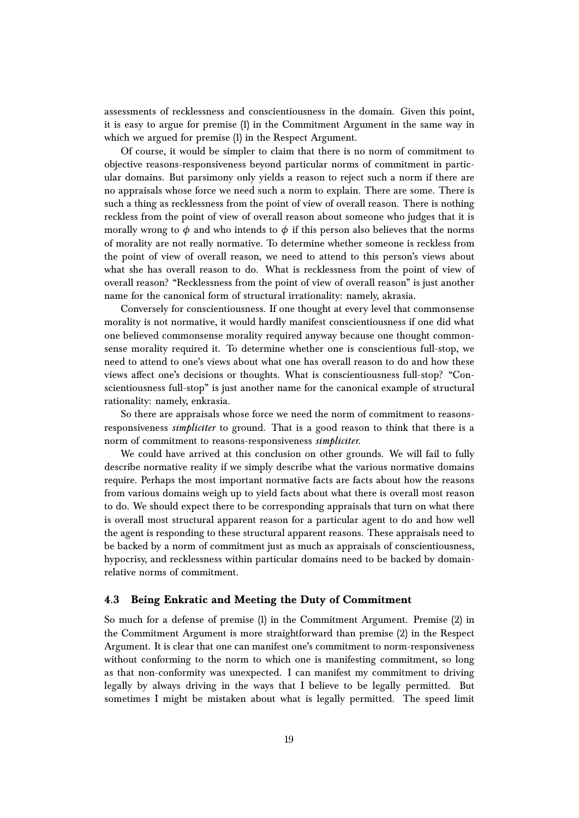assessments of recklessness and conscientiousness in the domain. Given this point, it is easy to argue for premise (1) in the Commitment Argument in the same way in which we argued for premise (1) in the Respect Argument.

Of course, it would be simpler to claim that there is no norm of commitment to objective reasons-responsiveness beyond particular norms of commitment in particular domains. But parsimony only yields a reason to reject such a norm if there are no appraisals whose force we need such a norm to explain. There are some. There is such a thing as recklessness from the point of view of overall reason. There is nothing reckless from the point of view of overall reason about someone who judges that it is morally wrong to  $\phi$  and who intends to  $\phi$  if this person also believes that the norms of morality are not really normative. To determine whether someone is reckless from the point of view of overall reason, we need to attend to this person's views about what she has overall reason to do. What is recklessness from the point of view of overall reason? "Recklessness from the point of view of overall reason" is just another name for the canonical form of structural irrationality: namely, akrasia.

Conversely for conscientiousness. If one thought at every level that commonsense morality is not normative, it would hardly manifest conscientiousness if one did what one believed commonsense morality required anyway because one thought commonsense morality required it. To determine whether one is conscientious full-stop, we need to attend to one's views about what one has overall reason to do and how these views affect one's decisions or thoughts. What is conscientiousness full-stop? "Conscientiousness full-stop" is just another name for the canonical example of structural rationality: namely, enkrasia.

So there are appraisals whose force we need the norm of commitment to reasonsresponsiveness *simpliciter* to ground. That is a good reason to think that there is a norm of commitment to reasons-responsiveness *simpliciter*.

We could have arrived at this conclusion on other grounds. We will fail to fully describe normative reality if we simply describe what the various normative domains require. Perhaps the most important normative facts are facts about how the reasons from various domains weigh up to yield facts about what there is overall most reason to do. We should expect there to be corresponding appraisals that turn on what there is overall most structural apparent reason for a particular agent to do and how well the agent is responding to these structural apparent reasons. These appraisals need to be backed by a norm of commitment just as much as appraisals of conscientiousness, hypocrisy, and recklessness within particular domains need to be backed by domainrelative norms of commitment.

### **4.3 Being Enkratic and Meeting the Duty of Commitment**

So much for a defense of premise (1) in the Commitment Argument. Premise (2) in the Commitment Argument is more straightforward than premise (2) in the Respect Argument. It is clear that one can manifest one's commitment to norm-responsiveness without conforming to the norm to which one is manifesting commitment, so long as that non-conformity was unexpected. I can manifest my commitment to driving legally by always driving in the ways that I believe to be legally permitted. But sometimes I might be mistaken about what is legally permitted. The speed limit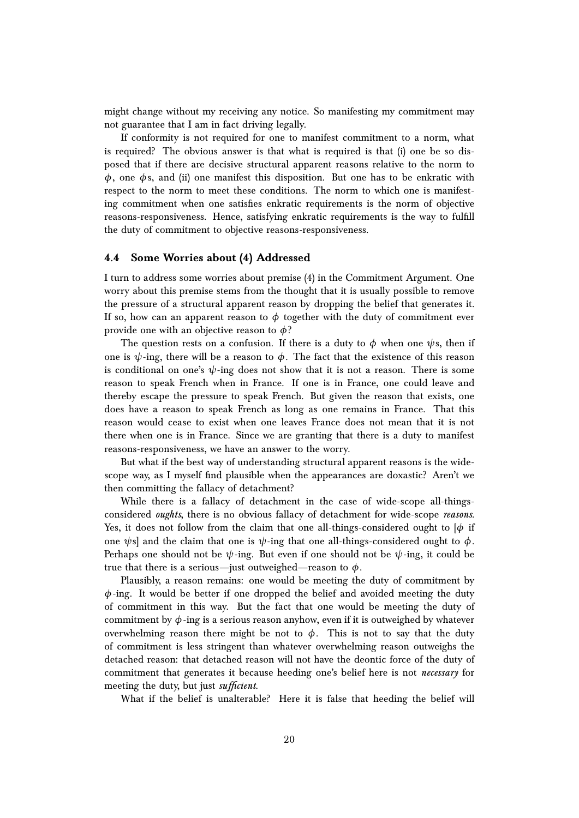might change without my receiving any notice. So manifesting my commitment may not guarantee that I am in fact driving legally.

If conformity is not required for one to manifest commitment to a norm, what is required? The obvious answer is that what is required is that (i) one be so disposed that if there are decisive structural apparent reasons relative to the norm to *φ*, one *φ*s, and (ii) one manifest this disposition. But one has to be enkratic with respect to the norm to meet these conditions. The norm to which one is manifesting commitment when one satisfies enkratic requirements is the norm of objective reasons-responsiveness. Hence, satisfying enkratic requirements is the way to fulfill the duty of commitment to objective reasons-responsiveness.

### **4.4 Some Worries about (4) Addressed**

I turn to address some worries about premise (4) in the Commitment Argument. One worry about this premise stems from the thought that it is usually possible to remove the pressure of a structural apparent reason by dropping the belief that generates it. If so, how can an apparent reason to  $\phi$  together with the duty of commitment ever provide one with an objective reason to *φ*?

The question rests on a confusion. If there is a duty to  $\phi$  when one  $\psi$ s, then if one is  $\psi$ -ing, there will be a reason to  $\phi$ . The fact that the existence of this reason is conditional on one's  $\psi$ -ing does not show that it is not a reason. There is some reason to speak French when in France. If one is in France, one could leave and thereby escape the pressure to speak French. But given the reason that exists, one does have a reason to speak French as long as one remains in France. That this reason would cease to exist when one leaves France does not mean that it is not there when one is in France. Since we are granting that there is a duty to manifest reasons-responsiveness, we have an answer to the worry.

But what if the best way of understanding structural apparent reasons is the widescope way, as I myself find plausible when the appearances are doxastic? Aren't we then committing the fallacy of detachment?

While there is a fallacy of detachment in the case of wide-scope all-thingsconsidered *oughts*, there is no obvious fallacy of detachment for wide-scope *reasons*. Yes, it does not follow from the claim that one all-things-considered ought to  $\phi$  if one  $\psi$ s] and the claim that one is  $\psi$ -ing that one all-things-considered ought to  $\phi$ . Perhaps one should not be  $\psi$ -ing. But even if one should not be  $\psi$ -ing, it could be true that there is a serious—just outweighed—reason to *φ*.

Plausibly, a reason remains: one would be meeting the duty of commitment by *φ*-ing. It would be better if one dropped the belief and avoided meeting the duty of commitment in this way. But the fact that one would be meeting the duty of commitment by *φ*-ing is a serious reason anyhow, even if it is outweighed by whatever overwhelming reason there might be not to  $φ$ . This is not to say that the duty of commitment is less stringent than whatever overwhelming reason outweighs the detached reason: that detached reason will not have the deontic force of the duty of commitment that generates it because heeding one's belief here is not *necessary* for meeting the duty, but just *sufficient*.

What if the belief is unalterable? Here it is false that heeding the belief will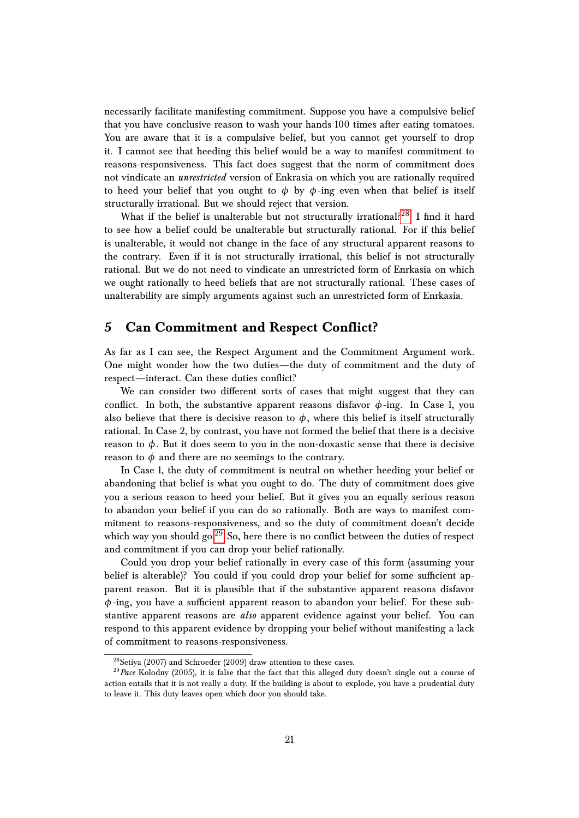necessarily facilitate manifesting commitment. Suppose you have a compulsive belief that you have conclusive reason to wash your hands 100 times after eating tomatoes. You are aware that it is a compulsive belief, but you cannot get yourself to drop it. I cannot see that heeding this belief would be a way to manifest commitment to reasons-responsiveness. This fact does suggest that the norm of commitment does not vindicate an *unrestricted* version of Enkrasia on which you are rationally required to heed your belief that you ought to  $\phi$  by  $\phi$ -ing even when that belief is itself structurally irrational. But we should reject that version.

What if the belief is unalterable but not structurally irrational?<sup>[28](#page-20-0)</sup> I find it hard to see how a belief could be unalterable but structurally rational. For if this belief is unalterable, it would not change in the face of any structural apparent reasons to the contrary. Even if it is not structurally irrational, this belief is not structurally rational. But we do not need to vindicate an unrestricted form of Enrkasia on which we ought rationally to heed beliefs that are not structurally rational. These cases of unalterability are simply arguments against such an unrestricted form of Enrkasia.

# **5 Can Commitment and Respect Conflict?**

As far as I can see, the Respect Argument and the Commitment Argument work. One might wonder how the two duties—the duty of commitment and the duty of respect—interact. Can these duties conflict?

We can consider two different sorts of cases that might suggest that they can conflict. In both, the substantive apparent reasons disfavor  $\phi$ -ing. In Case 1, you also believe that there is decisive reason to  $\phi$ , where this belief is itself structurally rational. In Case 2, by contrast, you have not formed the belief that there is a decisive reason to  $\phi$ . But it does seem to you in the non-doxastic sense that there is decisive reason to  $\phi$  and there are no seemings to the contrary.

In Case 1, the duty of commitment is neutral on whether heeding your belief or abandoning that belief is what you ought to do. The duty of commitment does give you a serious reason to heed your belief. But it gives you an equally serious reason to abandon your belief if you can do so rationally. Both are ways to manifest commitment to reasons-responsiveness, and so the duty of commitment doesn't decide which way you should go.<sup>[29](#page-20-1)</sup> So, here there is no conflict between the duties of respect and commitment if you can drop your belief rationally.

Could you drop your belief rationally in every case of this form (assuming your belief is alterable)? You could if you could drop your belief for some sufficient apparent reason. But it is plausible that if the substantive apparent reasons disfavor *φ*-ing, you have a sufficient apparent reason to abandon your belief. For these substantive apparent reasons are *also* apparent evidence against your belief. You can respond to this apparent evidence by dropping your belief without manifesting a lack of commitment to reasons-responsiveness.

<span id="page-20-1"></span><span id="page-20-0"></span> $^{28}$ Setiya (2007) and Schroeder (2009) draw attention to these cases.

<sup>29</sup>*Pace* Kolodny (2005), it is false that the fact that this alleged duty doesn't single out a course of action entails that it is not really a duty. If the building is about to explode, you have a prudential duty to leave it. This duty leaves open which door you should take.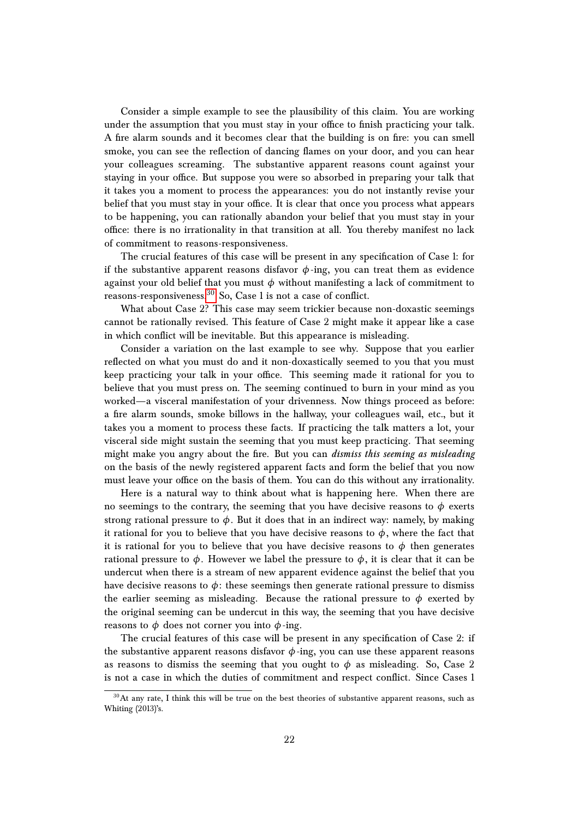Consider a simple example to see the plausibility of this claim. You are working under the assumption that you must stay in your office to finish practicing your talk. A fire alarm sounds and it becomes clear that the building is on fire: you can smell smoke, you can see the reflection of dancing flames on your door, and you can hear your colleagues screaming. The substantive apparent reasons count against your staying in your office. But suppose you were so absorbed in preparing your talk that it takes you a moment to process the appearances: you do not instantly revise your belief that you must stay in your office. It is clear that once you process what appears to be happening, you can rationally abandon your belief that you must stay in your office: there is no irrationality in that transition at all. You thereby manifest no lack of commitment to reasons-responsiveness.

The crucial features of this case will be present in any specification of Case 1: for if the substantive apparent reasons disfavor  $\phi$ -ing, you can treat them as evidence against your old belief that you must *φ* without manifesting a lack of commitment to reasons-responsiveness.[30](#page-21-0) So, Case 1 is not a case of conflict.

What about Case 2? This case may seem trickier because non-doxastic seemings cannot be rationally revised. This feature of Case 2 might make it appear like a case in which conflict will be inevitable. But this appearance is misleading.

Consider a variation on the last example to see why. Suppose that you earlier reflected on what you must do and it non-doxastically seemed to you that you must keep practicing your talk in your office. This seeming made it rational for you to believe that you must press on. The seeming continued to burn in your mind as you worked—a visceral manifestation of your drivenness. Now things proceed as before: a fire alarm sounds, smoke billows in the hallway, your colleagues wail, etc., but it takes you a moment to process these facts. If practicing the talk matters a lot, your visceral side might sustain the seeming that you must keep practicing. That seeming might make you angry about the fire. But you can *dismiss this seeming as misleading* on the basis of the newly registered apparent facts and form the belief that you now must leave your office on the basis of them. You can do this without any irrationality.

Here is a natural way to think about what is happening here. When there are no seemings to the contrary, the seeming that you have decisive reasons to  $\phi$  exerts strong rational pressure to  $\phi$ . But it does that in an indirect way: namely, by making it rational for you to believe that you have decisive reasons to  $\phi$ , where the fact that it is rational for you to believe that you have decisive reasons to  $\phi$  then generates rational pressure to  $\phi$ . However we label the pressure to  $\phi$ , it is clear that it can be undercut when there is a stream of new apparent evidence against the belief that you have decisive reasons to  $\phi$ : these seemings then generate rational pressure to dismiss the earlier seeming as misleading. Because the rational pressure to  $\phi$  exerted by the original seeming can be undercut in this way, the seeming that you have decisive reasons to  $\phi$  does not corner you into  $\phi$ -ing.

The crucial features of this case will be present in any specification of Case 2: if the substantive apparent reasons disfavor  $\phi$ -ing, you can use these apparent reasons as reasons to dismiss the seeming that you ought to  $\phi$  as misleading. So, Case 2 is not a case in which the duties of commitment and respect conflict. Since Cases 1

<span id="page-21-0"></span> $30$ At any rate, I think this will be true on the best theories of substantive apparent reasons, such as Whiting (2013)'s.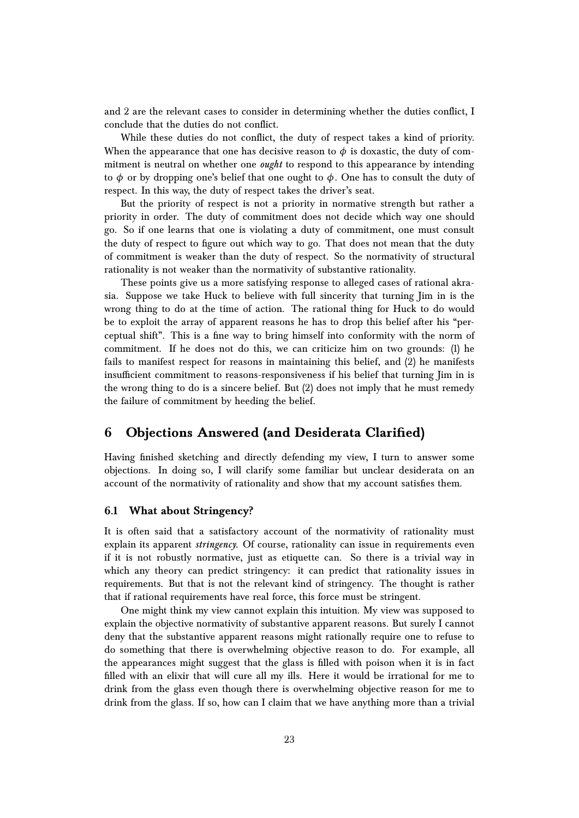and 2 are the relevant cases to consider in determining whether the duties conflict, I conclude that the duties do not conflict.

While these duties do not conflict, the duty of respect takes a kind of priority. When the appearance that one has decisive reason to  $\phi$  is doxastic, the duty of commitment is neutral on whether one *ought* to respond to this appearance by intending to  $\phi$  or by dropping one's belief that one ought to  $\phi$ . One has to consult the duty of respect. In this way, the duty of respect takes the driver's seat.

But the priority of respect is not a priority in normative strength but rather a priority in order. The duty of commitment does not decide which way one should go. So if one learns that one is violating a duty of commitment, one must consult the duty of respect to figure out which way to go. That does not mean that the duty of commitment is weaker than the duty of respect. So the normativity of structural rationality is not weaker than the normativity of substantive rationality.

These points give us a more satisfying response to alleged cases of rational akrasia. Suppose we take Huck to believe with full sincerity that turning Jim in is the wrong thing to do at the time of action. The rational thing for Huck to do would be to exploit the array of apparent reasons he has to drop this belief after his "perceptual shift". This is a fine way to bring himself into conformity with the norm of commitment. If he does not do this, we can criticize him on two grounds: (1) he fails to manifest respect for reasons in maintaining this belief, and (2) he manifests insufficient commitment to reasons-responsiveness if his belief that turning Jim in is the wrong thing to do is a sincere belief. But (2) does not imply that he must remedy the failure of commitment by heeding the belief.

# **6 Objections Answered (and Desiderata Clarified)**

Having finished sketching and directly defending my view, I turn to answer some objections. In doing so, I will clarify some familiar but unclear desiderata on an account of the normativity of rationality and show that my account satisfies them.

# **6.1 What about Stringency?**

It is often said that a satisfactory account of the normativity of rationality must explain its apparent *stringency*. Of course, rationality can issue in requirements even if it is not robustly normative, just as etiquette can. So there is a trivial way in which any theory can predict stringency: it can predict that rationality issues in requirements. But that is not the relevant kind of stringency. The thought is rather that if rational requirements have real force, this force must be stringent.

One might think my view cannot explain this intuition. My view was supposed to explain the objective normativity of substantive apparent reasons. But surely I cannot deny that the substantive apparent reasons might rationally require one to refuse to do something that there is overwhelming objective reason to do. For example, all the appearances might suggest that the glass is filled with poison when it is in fact filled with an elixir that will cure all my ills. Here it would be irrational for me to drink from the glass even though there is overwhelming objective reason for me to drink from the glass. If so, how can I claim that we have anything more than a trivial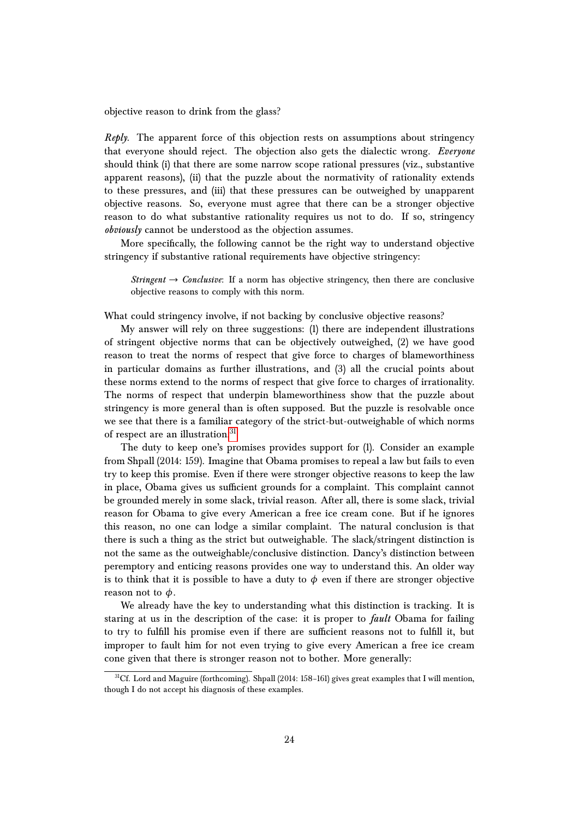objective reason to drink from the glass?

*Reply*. The apparent force of this objection rests on assumptions about stringency that everyone should reject. The objection also gets the dialectic wrong. *Everyone* should think (i) that there are some narrow scope rational pressures (viz., substantive apparent reasons), (ii) that the puzzle about the normativity of rationality extends to these pressures, and (iii) that these pressures can be outweighed by unapparent objective reasons. So, everyone must agree that there can be a stronger objective reason to do what substantive rationality requires us not to do. If so, stringency *obviously* cannot be understood as the objection assumes.

More specifically, the following cannot be the right way to understand objective stringency if substantive rational requirements have objective stringency:

*Stringent*  $\rightarrow$  *Conclusive*: If a norm has objective stringency, then there are conclusive objective reasons to comply with this norm.

What could stringency involve, if not backing by conclusive objective reasons?

My answer will rely on three suggestions: (1) there are independent illustrations of stringent objective norms that can be objectively outweighed, (2) we have good reason to treat the norms of respect that give force to charges of blameworthiness in particular domains as further illustrations, and (3) all the crucial points about these norms extend to the norms of respect that give force to charges of irrationality. The norms of respect that underpin blameworthiness show that the puzzle about stringency is more general than is often supposed. But the puzzle is resolvable once we see that there is a familiar category of the strict-but-outweighable of which norms of respect are an illustration.<sup>[31](#page-23-0)</sup>

The duty to keep one's promises provides support for (1). Consider an example from Shpall (2014: 159). Imagine that Obama promises to repeal a law but fails to even try to keep this promise. Even if there were stronger objective reasons to keep the law in place, Obama gives us sufficient grounds for a complaint. This complaint cannot be grounded merely in some slack, trivial reason. After all, there is some slack, trivial reason for Obama to give every American a free ice cream cone. But if he ignores this reason, no one can lodge a similar complaint. The natural conclusion is that there is such a thing as the strict but outweighable. The slack/stringent distinction is not the same as the outweighable/conclusive distinction. Dancy's distinction between peremptory and enticing reasons provides one way to understand this. An older way is to think that it is possible to have a duty to  $\phi$  even if there are stronger objective reason not to  $\phi$ .

We already have the key to understanding what this distinction is tracking. It is staring at us in the description of the case: it is proper to *fault* Obama for failing to try to fulfill his promise even if there are sufficient reasons not to fulfill it, but improper to fault him for not even trying to give every American a free ice cream cone given that there is stronger reason not to bother. More generally:

<span id="page-23-0"></span><sup>&</sup>lt;sup>31</sup>Cf. Lord and Maguire (forthcoming). Shpall (2014: 158-161) gives great examples that I will mention, though I do not accept his diagnosis of these examples.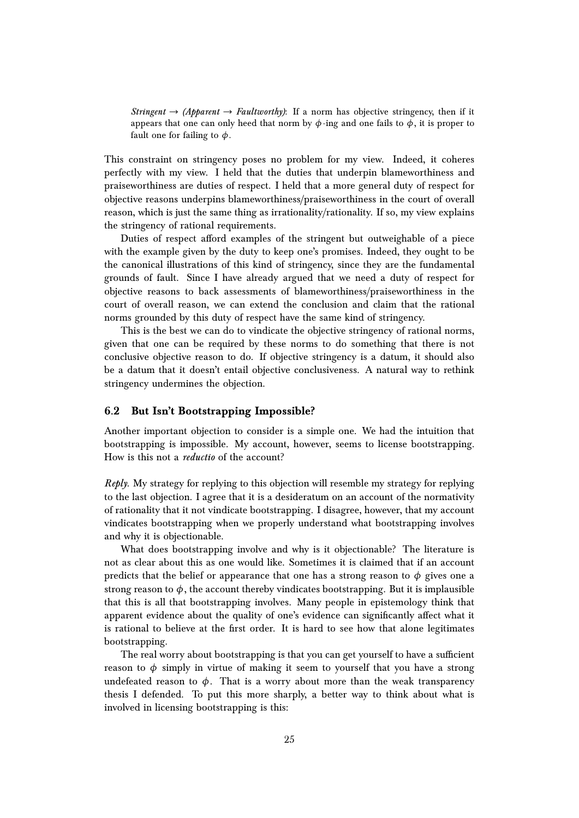*Stringent*  $\rightarrow$  *(Apparent*  $\rightarrow$  *Faultworthy)*: If a norm has objective stringency, then if it appears that one can only heed that norm by  $\phi$ -ing and one fails to  $\phi$ , it is proper to fault one for failing to *φ*.

This constraint on stringency poses no problem for my view. Indeed, it coheres perfectly with my view. I held that the duties that underpin blameworthiness and praiseworthiness are duties of respect. I held that a more general duty of respect for objective reasons underpins blameworthiness/praiseworthiness in the court of overall reason, which is just the same thing as irrationality/rationality. If so, my view explains the stringency of rational requirements.

Duties of respect afford examples of the stringent but outweighable of a piece with the example given by the duty to keep one's promises. Indeed, they ought to be the canonical illustrations of this kind of stringency, since they are the fundamental grounds of fault. Since I have already argued that we need a duty of respect for objective reasons to back assessments of blameworthiness/praiseworthiness in the court of overall reason, we can extend the conclusion and claim that the rational norms grounded by this duty of respect have the same kind of stringency.

This is the best we can do to vindicate the objective stringency of rational norms, given that one can be required by these norms to do something that there is not conclusive objective reason to do. If objective stringency is a datum, it should also be a datum that it doesn't entail objective conclusiveness. A natural way to rethink stringency undermines the objection.

### **6.2 But Isn't Bootstrapping Impossible?**

Another important objection to consider is a simple one. We had the intuition that bootstrapping is impossible. My account, however, seems to license bootstrapping. How is this not a *reductio* of the account?

*Reply*. My strategy for replying to this objection will resemble my strategy for replying to the last objection. I agree that it is a desideratum on an account of the normativity of rationality that it not vindicate bootstrapping. I disagree, however, that my account vindicates bootstrapping when we properly understand what bootstrapping involves and why it is objectionable.

What does bootstrapping involve and why is it objectionable? The literature is not as clear about this as one would like. Sometimes it is claimed that if an account predicts that the belief or appearance that one has a strong reason to  $\phi$  gives one a strong reason to  $\phi$ , the account thereby vindicates bootstrapping. But it is implausible that this is all that bootstrapping involves. Many people in epistemology think that apparent evidence about the quality of one's evidence can significantly affect what it is rational to believe at the first order. It is hard to see how that alone legitimates bootstrapping.

The real worry about bootstrapping is that you can get yourself to have a sufficient reason to  $\phi$  simply in virtue of making it seem to yourself that you have a strong undefeated reason to  $\phi$ . That is a worry about more than the weak transparency thesis I defended. To put this more sharply, a better way to think about what is involved in licensing bootstrapping is this: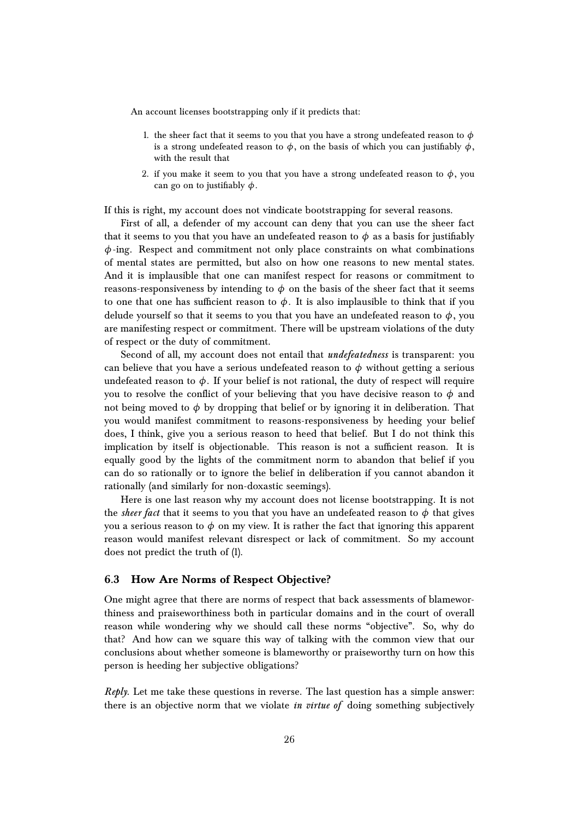An account licenses bootstrapping only if it predicts that:

- 1. the sheer fact that it seems to you that you have a strong undefeated reason to  $\phi$ is a strong undefeated reason to  $\phi$ , on the basis of which you can justifiably  $\phi$ , with the result that
- 2. if you make it seem to you that you have a strong undefeated reason to  $\phi$ , you can go on to justifiably *φ*.

If this is right, my account does not vindicate bootstrapping for several reasons.

First of all, a defender of my account can deny that you can use the sheer fact that it seems to you that you have an undefeated reason to  $\phi$  as a basis for justifiably *φ*-ing. Respect and commitment not only place constraints on what combinations of mental states are permitted, but also on how one reasons to new mental states. And it is implausible that one can manifest respect for reasons or commitment to reasons-responsiveness by intending to  $\phi$  on the basis of the sheer fact that it seems to one that one has sufficient reason to  $\phi$ . It is also implausible to think that if you delude yourself so that it seems to you that you have an undefeated reason to  $\phi$ , you are manifesting respect or commitment. There will be upstream violations of the duty of respect or the duty of commitment.

Second of all, my account does not entail that *undefeatedness* is transparent: you can believe that you have a serious undefeated reason to  $\phi$  without getting a serious undefeated reason to  $\phi$ . If your belief is not rational, the duty of respect will require you to resolve the conflict of your believing that you have decisive reason to  $\phi$  and not being moved to  $\phi$  by dropping that belief or by ignoring it in deliberation. That you would manifest commitment to reasons-responsiveness by heeding your belief does, I think, give you a serious reason to heed that belief. But I do not think this implication by itself is objectionable. This reason is not a sufficient reason. It is equally good by the lights of the commitment norm to abandon that belief if you can do so rationally or to ignore the belief in deliberation if you cannot abandon it rationally (and similarly for non-doxastic seemings).

Here is one last reason why my account does not license bootstrapping. It is not the *sheer fact* that it seems to you that you have an undefeated reason to  $\phi$  that gives you a serious reason to  $\phi$  on my view. It is rather the fact that ignoring this apparent reason would manifest relevant disrespect or lack of commitment. So my account does not predict the truth of (1).

### **6.3 How Are Norms of Respect Objective?**

One might agree that there are norms of respect that back assessments of blameworthiness and praiseworthiness both in particular domains and in the court of overall reason while wondering why we should call these norms "objective". So, why do that? And how can we square this way of talking with the common view that our conclusions about whether someone is blameworthy or praiseworthy turn on how this person is heeding her subjective obligations?

*Reply*. Let me take these questions in reverse. The last question has a simple answer: there is an objective norm that we violate *in virtue of* doing something subjectively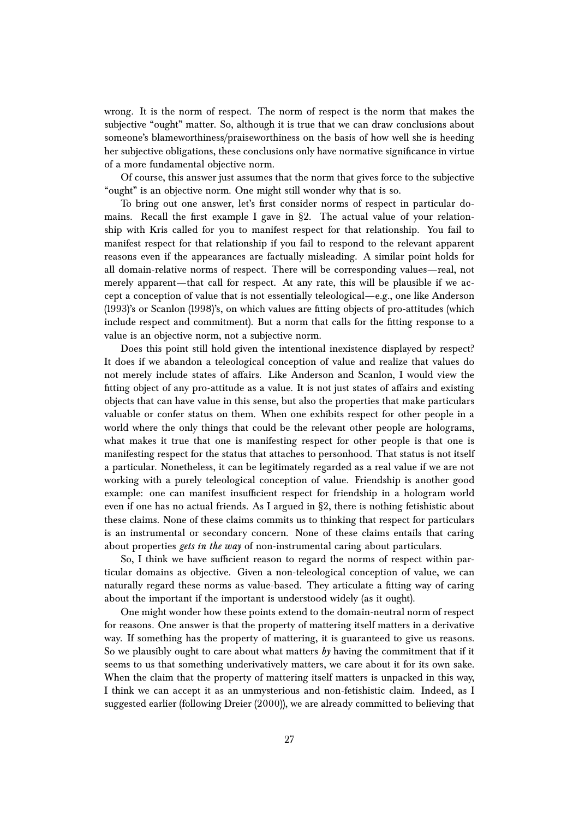wrong. It is the norm of respect. The norm of respect is the norm that makes the subjective "ought" matter. So, although it is true that we can draw conclusions about someone's blameworthiness/praiseworthiness on the basis of how well she is heeding her subjective obligations, these conclusions only have normative significance in virtue of a more fundamental objective norm.

Of course, this answer just assumes that the norm that gives force to the subjective "ought" is an objective norm. One might still wonder why that is so.

To bring out one answer, let's first consider norms of respect in particular domains. Recall the first example I gave in §2. The actual value of your relationship with Kris called for you to manifest respect for that relationship. You fail to manifest respect for that relationship if you fail to respond to the relevant apparent reasons even if the appearances are factually misleading. A similar point holds for all domain-relative norms of respect. There will be corresponding values—real, not merely apparent—that call for respect. At any rate, this will be plausible if we accept a conception of value that is not essentially teleological—e.g., one like Anderson (1993)'s or Scanlon (1998)'s, on which values are fitting objects of pro-attitudes (which include respect and commitment). But a norm that calls for the fitting response to a value is an objective norm, not a subjective norm.

Does this point still hold given the intentional inexistence displayed by respect? It does if we abandon a teleological conception of value and realize that values do not merely include states of affairs. Like Anderson and Scanlon, I would view the fitting object of any pro-attitude as a value. It is not just states of affairs and existing objects that can have value in this sense, but also the properties that make particulars valuable or confer status on them. When one exhibits respect for other people in a world where the only things that could be the relevant other people are holograms, what makes it true that one is manifesting respect for other people is that one is manifesting respect for the status that attaches to personhood. That status is not itself a particular. Nonetheless, it can be legitimately regarded as a real value if we are not working with a purely teleological conception of value. Friendship is another good example: one can manifest insufficient respect for friendship in a hologram world even if one has no actual friends. As I argued in §2, there is nothing fetishistic about these claims. None of these claims commits us to thinking that respect for particulars is an instrumental or secondary concern. None of these claims entails that caring about properties *gets in the way* of non-instrumental caring about particulars.

So, I think we have sufficient reason to regard the norms of respect within particular domains as objective. Given a non-teleological conception of value, we can naturally regard these norms as value-based. They articulate a fitting way of caring about the important if the important is understood widely (as it ought).

One might wonder how these points extend to the domain-neutral norm of respect for reasons. One answer is that the property of mattering itself matters in a derivative way. If something has the property of mattering, it is guaranteed to give us reasons. So we plausibly ought to care about what matters *by* having the commitment that if it seems to us that something underivatively matters, we care about it for its own sake. When the claim that the property of mattering itself matters is unpacked in this way, I think we can accept it as an unmysterious and non-fetishistic claim. Indeed, as I suggested earlier (following Dreier (2000)), we are already committed to believing that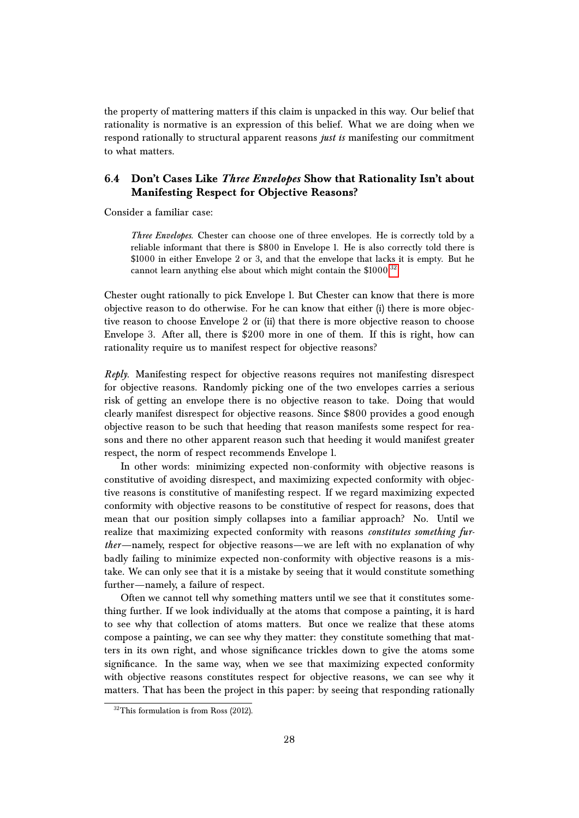the property of mattering matters if this claim is unpacked in this way. Our belief that rationality is normative is an expression of this belief. What we are doing when we respond rationally to structural apparent reasons *just is* manifesting our commitment to what matters.

# **6.4 Don't Cases Like** *Three Envelopes* **Show that Rationality Isn't about Manifesting Respect for Objective Reasons?**

Consider a familiar case:

*Three Envelopes*. Chester can choose one of three envelopes. He is correctly told by a reliable informant that there is \$800 in Envelope 1. He is also correctly told there is \$1000 in either Envelope 2 or 3, and that the envelope that lacks it is empty. But he cannot learn anything else about which might contain the \$1000.<sup>[32](#page-27-0)</sup>

Chester ought rationally to pick Envelope 1. But Chester can know that there is more objective reason to do otherwise. For he can know that either (i) there is more objective reason to choose Envelope 2 or (ii) that there is more objective reason to choose Envelope 3. After all, there is \$200 more in one of them. If this is right, how can rationality require us to manifest respect for objective reasons?

*Reply*. Manifesting respect for objective reasons requires not manifesting disrespect for objective reasons. Randomly picking one of the two envelopes carries a serious risk of getting an envelope there is no objective reason to take. Doing that would clearly manifest disrespect for objective reasons. Since \$800 provides a good enough objective reason to be such that heeding that reason manifests some respect for reasons and there no other apparent reason such that heeding it would manifest greater respect, the norm of respect recommends Envelope 1.

In other words: minimizing expected non-conformity with objective reasons is constitutive of avoiding disrespect, and maximizing expected conformity with objective reasons is constitutive of manifesting respect. If we regard maximizing expected conformity with objective reasons to be constitutive of respect for reasons, does that mean that our position simply collapses into a familiar approach? No. Until we realize that maximizing expected conformity with reasons *constitutes something further*—namely, respect for objective reasons—we are left with no explanation of why badly failing to minimize expected non-conformity with objective reasons is a mistake. We can only see that it is a mistake by seeing that it would constitute something further—namely, a failure of respect.

Often we cannot tell why something matters until we see that it constitutes something further. If we look individually at the atoms that compose a painting, it is hard to see why that collection of atoms matters. But once we realize that these atoms compose a painting, we can see why they matter: they constitute something that matters in its own right, and whose significance trickles down to give the atoms some significance. In the same way, when we see that maximizing expected conformity with objective reasons constitutes respect for objective reasons, we can see why it matters. That has been the project in this paper: by seeing that responding rationally

<span id="page-27-0"></span><sup>&</sup>lt;sup>32</sup>This formulation is from Ross (2012).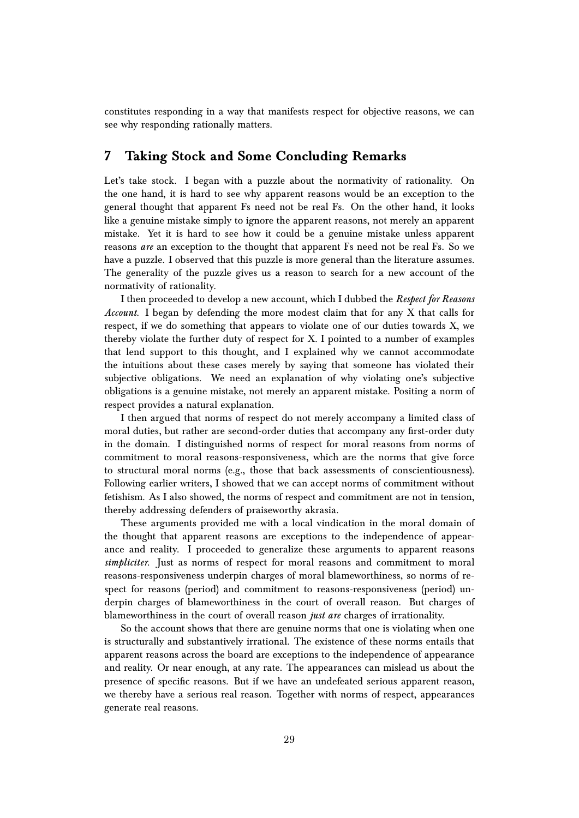constitutes responding in a way that manifests respect for objective reasons, we can see why responding rationally matters.

# **7 Taking Stock and Some Concluding Remarks**

Let's take stock. I began with a puzzle about the normativity of rationality. On the one hand, it is hard to see why apparent reasons would be an exception to the general thought that apparent Fs need not be real Fs. On the other hand, it looks like a genuine mistake simply to ignore the apparent reasons, not merely an apparent mistake. Yet it is hard to see how it could be a genuine mistake unless apparent reasons *are* an exception to the thought that apparent Fs need not be real Fs. So we have a puzzle. I observed that this puzzle is more general than the literature assumes. The generality of the puzzle gives us a reason to search for a new account of the normativity of rationality.

I then proceeded to develop a new account, which I dubbed the *Respect for Reasons Account*. I began by defending the more modest claim that for any X that calls for respect, if we do something that appears to violate one of our duties towards X, we thereby violate the further duty of respect for X. I pointed to a number of examples that lend support to this thought, and I explained why we cannot accommodate the intuitions about these cases merely by saying that someone has violated their subjective obligations. We need an explanation of why violating one's subjective obligations is a genuine mistake, not merely an apparent mistake. Positing a norm of respect provides a natural explanation.

I then argued that norms of respect do not merely accompany a limited class of moral duties, but rather are second-order duties that accompany any first-order duty in the domain. I distinguished norms of respect for moral reasons from norms of commitment to moral reasons-responsiveness, which are the norms that give force to structural moral norms (e.g., those that back assessments of conscientiousness). Following earlier writers, I showed that we can accept norms of commitment without fetishism. As I also showed, the norms of respect and commitment are not in tension, thereby addressing defenders of praiseworthy akrasia.

These arguments provided me with a local vindication in the moral domain of the thought that apparent reasons are exceptions to the independence of appearance and reality. I proceeded to generalize these arguments to apparent reasons *simpliciter*. Just as norms of respect for moral reasons and commitment to moral reasons-responsiveness underpin charges of moral blameworthiness, so norms of respect for reasons (period) and commitment to reasons-responsiveness (period) underpin charges of blameworthiness in the court of overall reason. But charges of blameworthiness in the court of overall reason *just are* charges of irrationality.

So the account shows that there are genuine norms that one is violating when one is structurally and substantively irrational. The existence of these norms entails that apparent reasons across the board are exceptions to the independence of appearance and reality. Or near enough, at any rate. The appearances can mislead us about the presence of specific reasons. But if we have an undefeated serious apparent reason, we thereby have a serious real reason. Together with norms of respect, appearances generate real reasons.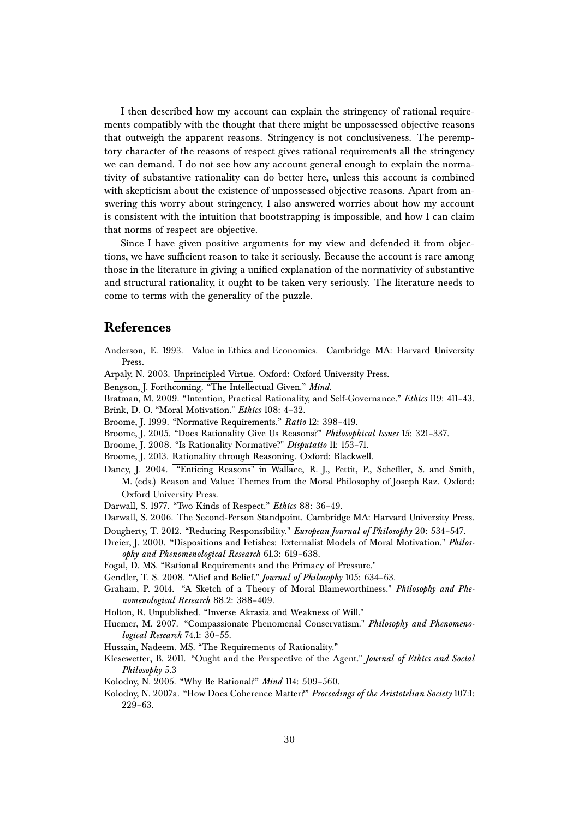I then described how my account can explain the stringency of rational requirements compatibly with the thought that there might be unpossessed objective reasons that outweigh the apparent reasons. Stringency is not conclusiveness. The peremptory character of the reasons of respect gives rational requirements all the stringency we can demand. I do not see how any account general enough to explain the normativity of substantive rationality can do better here, unless this account is combined with skepticism about the existence of unpossessed objective reasons. Apart from answering this worry about stringency, I also answered worries about how my account is consistent with the intuition that bootstrapping is impossible, and how I can claim that norms of respect are objective.

Since I have given positive arguments for my view and defended it from objections, we have sufficient reason to take it seriously. Because the account is rare among those in the literature in giving a unified explanation of the normativity of substantive and structural rationality, it ought to be taken very seriously. The literature needs to come to terms with the generality of the puzzle.

# **References**

- Anderson, E. 1993. Value in Ethics and Economics. Cambridge MA: Harvard University Press.
- Arpaly, N. 2003. Unprincipled Virtue. Oxford: Oxford University Press.
- Bengson, J. Forthcoming. "The Intellectual Given." *Mind*.
- Bratman, M. 2009. "Intention, Practical Rationality, and Self-Governance." *Ethics* 119: 411–43.
- Brink, D. O. "Moral Motivation." *Ethics* 108: 4–32.
- Broome, J. 1999. "Normative Requirements." *Ratio* 12: 398–419.
- Broome, J. 2005. "Does Rationality Give Us Reasons?" *Philosophical Issues* 15: 321–337.
- Broome, J. 2008. "Is Rationality Normative?" *Disputatio* 11: 153–71.
- Broome, J. 2013. Rationality through Reasoning. Oxford: Blackwell.
- Dancy, J. 2004. "Enticing Reasons" in Wallace, R. J., Pettit, P., Scheffler, S. and Smith, M. (eds.) Reason and Value: Themes from the Moral Philosophy of Joseph Raz. Oxford: Oxford University Press.
- Darwall, S. 1977. "Two Kinds of Respect." *Ethics* 88: 36–49.
- Darwall, S. 2006. The Second-Person Standpoint. Cambridge MA: Harvard University Press. Dougherty, T. 2012. "Reducing Responsibility." *European Journal of Philosophy* 20: 534–547.
- Dreier, J. 2000. "Dispositions and Fetishes: Externalist Models of Moral Motivation." *Philosophy and Phenomenological Research* 61.3: 619–638.
- Fogal, D. MS. "Rational Requirements and the Primacy of Pressure."
- Gendler, T. S. 2008. "Alief and Belief." *Journal of Philosophy* 105: 634–63.
- Graham, P. 2014. "A Sketch of a Theory of Moral Blameworthiness." *Philosophy and Phenomenological Research* 88.2: 388–409.
- Holton, R. Unpublished. "Inverse Akrasia and Weakness of Will."
- Huemer, M. 2007. "Compassionate Phenomenal Conservatism." *Philosophy and Phenomenological Research* 74.1: 30–55.
- Hussain, Nadeem. MS. "The Requirements of Rationality."
- Kiesewetter, B. 2011. "Ought and the Perspective of the Agent." *Journal of Ethics and Social Philosophy* 5.3
- Kolodny, N. 2005. "Why Be Rational?" *Mind* 114: 509–560.
- Kolodny, N. 2007a. "How Does Coherence Matter?" *Proceedings of the Aristotelian Society* 107:1: 229–63.